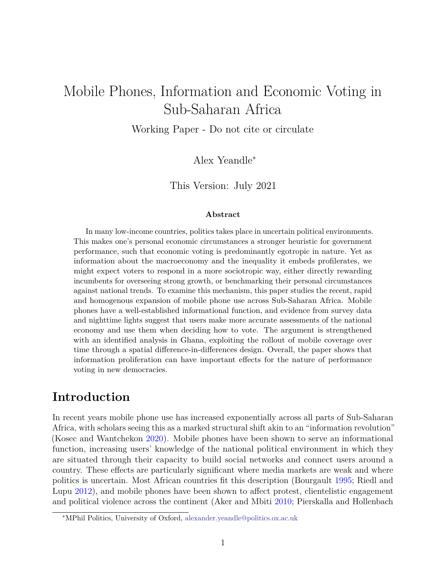# Mobile Phones, Information and Economic Voting in Sub-Saharan Africa

Working Paper - Do not cite or circulate

Alex Yeandle<sup>∗</sup>

This Version: July 2021

#### **Abstract**

In many low-income countries, politics takes place in uncertain political environments. This makes one's personal economic circumstances a stronger heuristic for government performance, such that economic voting is predominantly egotropic in nature. Yet as information about the macroeconomy and the inequality it embeds profilerates, we might expect voters to respond in a more sociotropic way, either directly rewarding incumbents for overseeing strong growth, or benchmarking their personal circumstances against national trends. To examine this mechanism, this paper studies the recent, rapid and homogenous expansion of mobile phone use across Sub-Saharan Africa. Mobile phones have a well-established informational function, and evidence from survey data and nighttime lights suggest that users make more accurate assessments of the national economy and use them when deciding how to vote. The argument is strengthened with an identified analysis in Ghana, exploiting the rollout of mobile coverage over time through a spatial difference-in-differences design. Overall, the paper shows that information proliferation can have important effects for the nature of performance voting in new democracies.

## **Introduction**

In recent years mobile phone use has increased exponentially across all parts of Sub-Saharan Africa, with scholars seeing this as a marked structural shift akin to an "information revolution" (Kosec and Wantchekon [2020\)](#page-39-0). Mobile phones have been shown to serve an informational function, increasing users' knowledge of the national political environment in which they are situated through their capacity to build social networks and connect users around a country. These effects are particularly significant where media markets are weak and where politics is uncertain. Most African countries fit this description (Bourgault [1995;](#page-35-0) Riedl and Lupu [2012\)](#page-40-0), and mobile phones have been shown to affect protest, clientelistic engagement and political violence across the continent (Aker and Mbiti [2010;](#page-34-0) Pierskalla and Hollenbach

<sup>∗</sup>MPhil Politics, University of Oxford, [alexander.yeandle@politics.ox.ac.uk](mailto:alexander.yeandle@politics.ox.ac.uk)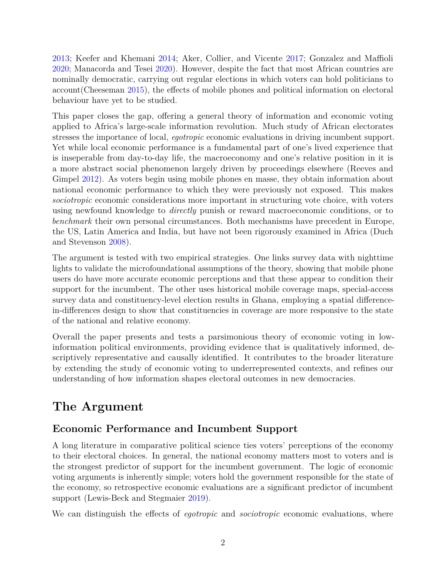[2013;](#page-40-1) Keefer and Khemani [2014;](#page-38-0) Aker, Collier, and Vicente [2017;](#page-34-1) Gonzalez and Maffioli [2020;](#page-37-0) Manacorda and Tesei [2020\)](#page-39-1). However, despite the fact that most African countries are nominally democratic, carrying out regular elections in which voters can hold politicians to account(Cheeseman [2015\)](#page-35-1), the effects of mobile phones and political information on electoral behaviour have yet to be studied.

This paper closes the gap, offering a general theory of information and economic voting applied to Africa's large-scale information revolution. Much study of African electorates stresses the importance of local, *egotropic* economic evaluations in driving incumbent support. Yet while local economic performance is a fundamental part of one's lived experience that is inseperable from day-to-day life, the macroeconomy and one's relative position in it is a more abstract social phenomenon largely driven by proceedings elsewhere (Reeves and Gimpel [2012\)](#page-40-2). As voters begin using mobile phones en masse, they obtain information about national economic performance to which they were previously not exposed. This makes *sociotropic* economic considerations more important in structuring vote choice, with voters using newfound knowledge to *directly* punish or reward macroeconomic conditions, or to *benchmark* their own personal circumstances. Both mechanisms have precedent in Europe, the US, Latin America and India, but have not been rigorously examined in Africa (Duch and Stevenson [2008\)](#page-36-0).

The argument is tested with two empirical strategies. One links survey data with nighttime lights to validate the microfoundational assumptions of the theory, showing that mobile phone users do have more accurate economic perceptions and that these appear to condition their support for the incumbent. The other uses historical mobile coverage maps, special-access survey data and constituency-level election results in Ghana, employing a spatial differencein-differences design to show that constituencies in coverage are more responsive to the state of the national and relative economy.

Overall the paper presents and tests a parsimonious theory of economic voting in lowinformation political environments, providing evidence that is qualitatively informed, descriptively representative and causally identified. It contributes to the broader literature by extending the study of economic voting to underrepresented contexts, and refines our understanding of how information shapes electoral outcomes in new democracies.

# **The Argument**

## **Economic Performance and Incumbent Support**

A long literature in comparative political science ties voters' perceptions of the economy to their electoral choices. In general, the national economy matters most to voters and is the strongest predictor of support for the incumbent government. The logic of economic voting arguments is inherently simple; voters hold the government responsible for the state of the economy, so retrospective economic evaluations are a significant predictor of incumbent support (Lewis-Beck and Stegmaier [2019\)](#page-39-2).

We can distinguish the effects of *egotropic* and *sociotropic* economic evaluations, where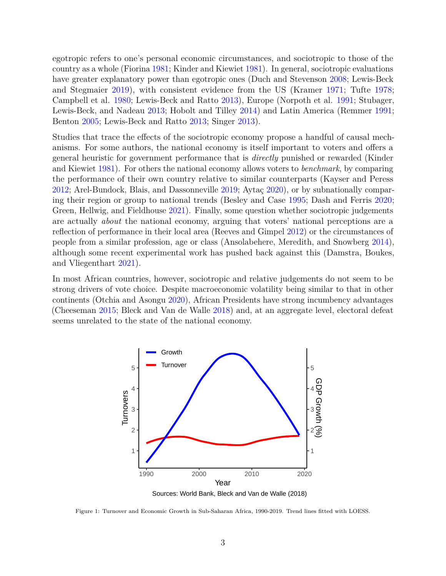egotropic refers to one's personal economic circumstances, and sociotropic to those of the country as a whole (Fiorina [1981;](#page-36-1) Kinder and Kiewiet [1981\)](#page-38-1). In general, sociotropic evaluations have greater explanatory power than egotropic ones (Duch and Stevenson [2008;](#page-36-0) Lewis-Beck and Stegmaier [2019\)](#page-39-2), with consistent evidence from the US (Kramer [1971;](#page-39-3) Tufte [1978;](#page-41-0) Campbell et al. [1980;](#page-35-2) Lewis-Beck and Ratto [2013\)](#page-39-4), Europe (Norpoth et al. [1991;](#page-39-5) Stubager, Lewis-Beck, and Nadeau [2013;](#page-41-1) Hobolt and Tilley [2014\)](#page-38-2) and Latin America (Remmer [1991;](#page-40-3) Benton [2005;](#page-34-2) Lewis-Beck and Ratto [2013;](#page-39-4) Singer [2013\)](#page-41-2).

Studies that trace the effects of the sociotropic economy propose a handful of causal mechanisms. For some authors, the national economy is itself important to voters and offers a general heuristic for government performance that is *directly* punished or rewarded (Kinder and Kiewiet [1981\)](#page-38-1). For others the national economy allows voters to *benchmark*, by comparing the performance of their own country relative to similar counterparts (Kayser and Peress [2012;](#page-38-3) Arel-Bundock, Blais, and Dassonneville [2019;](#page-34-3) Aytaç [2020\)](#page-34-4), or by subnationally comparing their region or group to national trends (Besley and Case [1995;](#page-35-3) Dash and Ferris [2020;](#page-36-2) Green, Hellwig, and Fieldhouse [2021\)](#page-37-1). Finally, some question whether sociotropic judgements are actually *about* the national economy, arguing that voters' national perceptions are a reflection of performance in their local area (Reeves and Gimpel [2012\)](#page-40-2) or the circumstances of people from a similar profession, age or class (Ansolabehere, Meredith, and Snowberg [2014\)](#page-34-5), although some recent experimental work has pushed back against this (Damstra, Boukes, and Vliegenthart [2021\)](#page-35-4).

In most African countries, however, sociotropic and relative judgements do not seem to be strong drivers of vote choice. Despite macroeconomic volatility being similar to that in other continents (Otchia and Asongu [2020\)](#page-40-4), African Presidents have strong incumbency advantages (Cheeseman [2015;](#page-35-1) Bleck and Van de Walle [2018\)](#page-35-5) and, at an aggregate level, electoral defeat seems unrelated to the state of the national economy.



Figure 1: Turnover and Economic Growth in Sub-Saharan Africa, 1990-2019. Trend lines fitted with LOESS.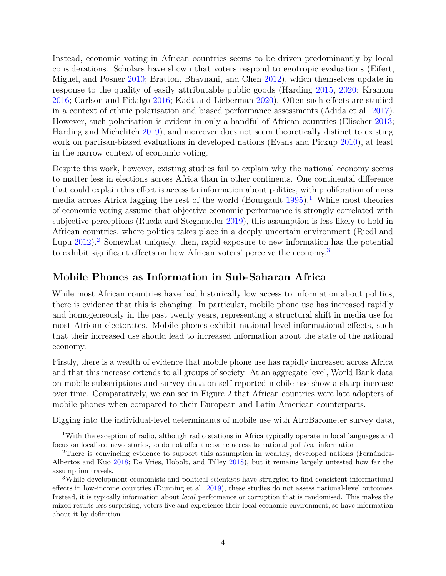Instead, economic voting in African countries seems to be driven predominantly by local considerations. Scholars have shown that voters respond to egotropic evaluations (Eifert, Miguel, and Posner [2010;](#page-36-3) Bratton, Bhavnani, and Chen [2012\)](#page-35-6), which themselves update in response to the quality of easily attributable public goods (Harding [2015,](#page-37-2) [2020;](#page-37-3) Kramon [2016;](#page-39-6) Carlson and Fidalgo [2016;](#page-35-7) Kadt and Lieberman [2020\)](#page-38-4). Often such effects are studied in a context of ethnic polarisation and biased performance assessments (Adida et al. [2017\)](#page-34-6). However, such polarisation is evident in only a handful of African countries (Elischer [2013;](#page-36-4) Harding and Michelitch [2019\)](#page-37-4), and moreover does not seem theoretically distinct to existing work on partisan-biased evaluations in developed nations (Evans and Pickup [2010\)](#page-36-5), at least in the narrow context of economic voting.

Despite this work, however, existing studies fail to explain why the national economy seems to matter less in elections across Africa than in other continents. One continental difference that could explain this effect is access to information about politics, with proliferation of mass media across Africa lagging the rest of the world (Bourgault  $1995$  $1995$ ).<sup>1</sup> While most theories of economic voting assume that objective economic performance is strongly correlated with subjective perceptions (Rueda and Stegmueller [2019\)](#page-40-5), this assumption is less likely to hold in African countries, where politics takes place in a deeply uncertain environment (Riedl and Lupu  $2012$  $2012$ .<sup>2</sup> Somewhat uniquely, then, rapid exposure to new information has the potential to exhibit significant effects on how African voters' perceive the economy.[3](#page-3-2)

### **Mobile Phones as Information in Sub-Saharan Africa**

While most African countries have had historically low access to information about politics, there is evidence that this is changing. In particular, mobile phone use has increased rapidly and homogeneously in the past twenty years, representing a structural shift in media use for most African electorates. Mobile phones exhibit national-level informational effects, such that their increased use should lead to increased information about the state of the national economy.

Firstly, there is a wealth of evidence that mobile phone use has rapidly increased across Africa and that this increase extends to all groups of society. At an aggregate level, World Bank data on mobile subscriptions and survey data on self-reported mobile use show a sharp increase over time. Comparatively, we can see in Figure 2 that African countries were late adopters of mobile phones when compared to their European and Latin American counterparts.

Digging into the individual-level determinants of mobile use with AfroBarometer survey data,

<span id="page-3-0"></span><sup>1</sup>With the exception of radio, although radio stations in Africa typically operate in local languages and focus on localised news stories, so do not offer the same access to national political information.

<span id="page-3-1"></span><sup>2</sup>There is convincing evidence to support this assumption in wealthy, developed nations (Fernández-Albertos and Kuo [2018;](#page-36-6) De Vries, Hobolt, and Tilley [2018\)](#page-36-7), but it remains largely untested how far the assumption travels.

<span id="page-3-2"></span><sup>3</sup>While development economists and political scientists have struggled to find consistent informational effects in low-income countries (Dunning et al. [2019\)](#page-36-8), these studies do not assess national-level outcomes. Instead, it is typically information about *local* performance or corruption that is randomised. This makes the mixed results less surprising; voters live and experience their local economic environment, so have information about it by definition.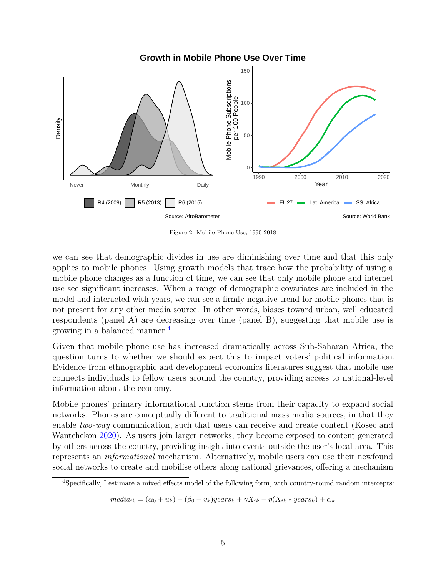**Growth in Mobile Phone Use Over Time**



Figure 2: Mobile Phone Use, 1990-2018

we can see that demographic divides in use are diminishing over time and that this only applies to mobile phones. Using growth models that trace how the probability of using a mobile phone changes as a function of time, we can see that only mobile phone and internet use see significant increases. When a range of demographic covariates are included in the model and interacted with years, we can see a firmly negative trend for mobile phones that is not present for any other media source. In other words, biases toward urban, well educated respondents (panel A) are decreasing over time (panel B), suggesting that mobile use is growing in a balanced manner.[4](#page-4-0)

Given that mobile phone use has increased dramatically across Sub-Saharan Africa, the question turns to whether we should expect this to impact voters' political information. Evidence from ethnographic and development economics literatures suggest that mobile use connects individuals to fellow users around the country, providing access to national-level information about the economy.

Mobile phones' primary informational function stems from their capacity to expand social networks. Phones are conceptually different to traditional mass media sources, in that they enable *two-way* communication, such that users can receive and create content (Kosec and Wantchekon [2020\)](#page-39-0). As users join larger networks, they become exposed to content generated by others across the country, providing insight into events outside the user's local area. This represents an *informational* mechanism. Alternatively, mobile users can use their newfound social networks to create and mobilise others along national grievances, offering a mechanism

 $median_{ik} = (\alpha_0 + u_k) + (\beta_0 + v_k)$ *years*<sub>*k*</sub> +  $\gamma X_{ik} + \eta (X_{ik} * \text{years}_k) + \epsilon_{ik}$ 

<span id="page-4-0"></span><sup>4</sup>Specifically, I estimate a mixed effects model of the following form, with country-round random intercepts: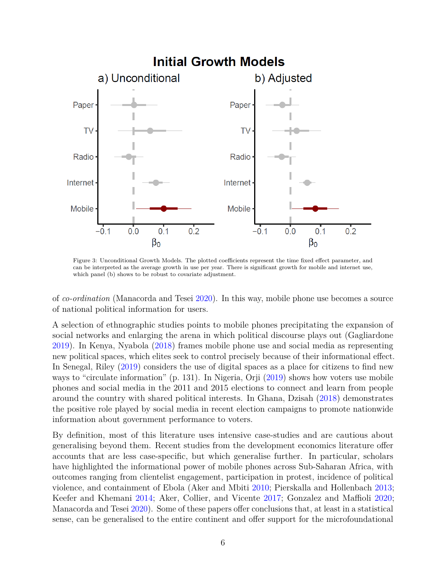

Figure 3: Unconditional Growth Models. The plotted coefficients represent the time fixed effect parameter, and can be interpreted as the average growth in use per year. There is significant growth for mobile and internet use, which panel (b) shows to be robust to covariate adjustment.

of *co-ordination* (Manacorda and Tesei [2020\)](#page-39-1). In this way, mobile phone use becomes a source of national political information for users.

A selection of ethnographic studies points to mobile phones precipitating the expansion of social networks and enlarging the arena in which political discourse plays out (Gagliardone [2019\)](#page-36-9). In Kenya, Nyabola [\(2018\)](#page-39-7) frames mobile phone use and social media as representing new political spaces, which elites seek to control precisely because of their informational effect. In Senegal, Riley [\(2019\)](#page-40-6) considers the use of digital spaces as a place for citizens to find new ways to "circulate information" (p. 131). In Nigeria, Orji [\(2019\)](#page-39-8) shows how voters use mobile phones and social media in the 2011 and 2015 elections to connect and learn from people around the country with shared political interests. In Ghana, Dzisah [\(2018\)](#page-36-10) demonstrates the positive role played by social media in recent election campaigns to promote nationwide information about government performance to voters.

By definition, most of this literature uses intensive case-studies and are cautious about generalising beyond them. Recent studies from the development economics literature offer accounts that are less case-specific, but which generalise further. In particular, scholars have highlighted the informational power of mobile phones across Sub-Saharan Africa, with outcomes ranging from clientelist engagement, participation in protest, incidence of political violence, and containment of Ebola (Aker and Mbiti [2010;](#page-34-0) Pierskalla and Hollenbach [2013;](#page-40-1) Keefer and Khemani [2014;](#page-38-0) Aker, Collier, and Vicente [2017;](#page-34-1) Gonzalez and Maffioli [2020;](#page-37-0) Manacorda and Tesei [2020\)](#page-39-1). Some of these papers offer conclusions that, at least in a statistical sense, can be generalised to the entire continent and offer support for the microfoundational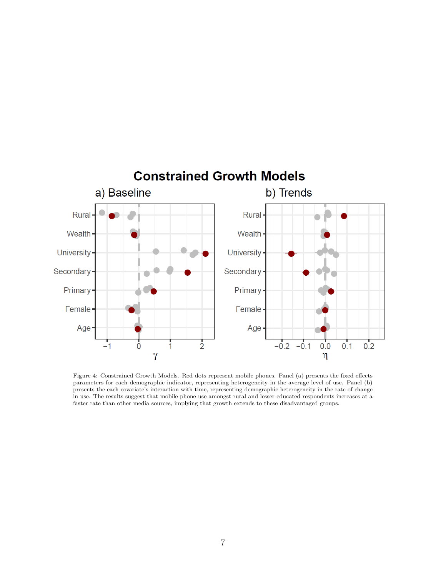

Figure 4: Constrained Growth Models. Red dots represent mobile phones. Panel (a) presents the fixed effects parameters for each demographic indicator, representing heterogeneity in the average level of use. Panel (b) presents the each covariate's interaction with time, representing demographic heterogeneity in the rate of change in use. The results suggest that mobile phone use amongst rural and lesser educated respondents increases at a faster rate than other media sources, implying that growth extends to these disadvantaged groups.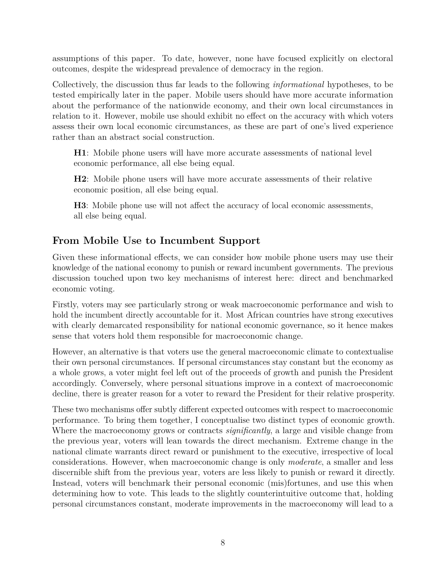assumptions of this paper. To date, however, none have focused explicitly on electoral outcomes, despite the widespread prevalence of democracy in the region.

Collectively, the discussion thus far leads to the following *informational* hypotheses, to be tested empirically later in the paper. Mobile users should have more accurate information about the performance of the nationwide economy, and their own local circumstances in relation to it. However, mobile use should exhibit no effect on the accuracy with which voters assess their own local economic circumstances, as these are part of one's lived experience rather than an abstract social construction.

**H1**: Mobile phone users will have more accurate assessments of national level economic performance, all else being equal.

**H2**: Mobile phone users will have more accurate assessments of their relative economic position, all else being equal.

**H3**: Mobile phone use will not affect the accuracy of local economic assessments, all else being equal.

## **From Mobile Use to Incumbent Support**

Given these informational effects, we can consider how mobile phone users may use their knowledge of the national economy to punish or reward incumbent governments. The previous discussion touched upon two key mechanisms of interest here: direct and benchmarked economic voting.

Firstly, voters may see particularly strong or weak macroeconomic performance and wish to hold the incumbent directly accountable for it. Most African countries have strong executives with clearly demarcated responsibility for national economic governance, so it hence makes sense that voters hold them responsible for macroeconomic change.

However, an alternative is that voters use the general macroeconomic climate to contextualise their own personal circumstances. If personal circumstances stay constant but the economy as a whole grows, a voter might feel left out of the proceeds of growth and punish the President accordingly. Conversely, where personal situations improve in a context of macroeconomic decline, there is greater reason for a voter to reward the President for their relative prosperity.

These two mechanisms offer subtly different expected outcomes with respect to macroeconomic performance. To bring them together, I conceptualise two distinct types of economic growth. Where the macroeconomy grows or contracts *significantly*, a large and visible change from the previous year, voters will lean towards the direct mechanism. Extreme change in the national climate warrants direct reward or punishment to the executive, irrespective of local considerations. However, when macroeconomic change is only *moderate*, a smaller and less discernible shift from the previous year, voters are less likely to punish or reward it directly. Instead, voters will benchmark their personal economic (mis)fortunes, and use this when determining how to vote. This leads to the slightly counterintuitive outcome that, holding personal circumstances constant, moderate improvements in the macroeconomy will lead to a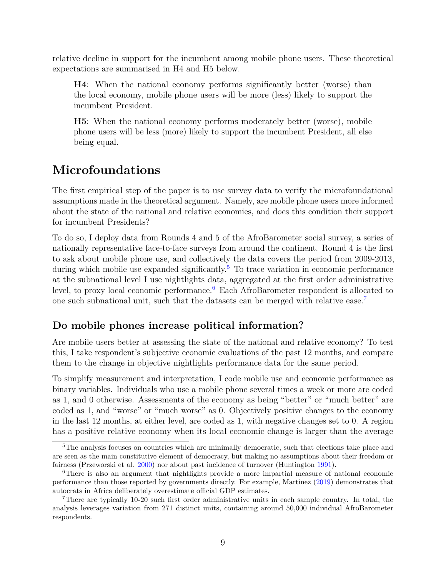relative decline in support for the incumbent among mobile phone users. These theoretical expectations are summarised in H4 and H5 below.

**H4**: When the national economy performs significantly better (worse) than the local economy, mobile phone users will be more (less) likely to support the incumbent President.

**H5**: When the national economy performs moderately better (worse), mobile phone users will be less (more) likely to support the incumbent President, all else being equal.

## **Microfoundations**

The first empirical step of the paper is to use survey data to verify the microfoundational assumptions made in the theoretical argument. Namely, are mobile phone users more informed about the state of the national and relative economies, and does this condition their support for incumbent Presidents?

To do so, I deploy data from Rounds 4 and 5 of the AfroBarometer social survey, a series of nationally representative face-to-face surveys from around the continent. Round 4 is the first to ask about mobile phone use, and collectively the data covers the period from 2009-2013, during which mobile use expanded significantly.<sup>[5](#page-8-0)</sup> To trace variation in economic performance at the subnational level I use nightlights data, aggregated at the first order administrative level, to proxy local economic performance.<sup>[6](#page-8-1)</sup> Each AfroBarometer respondent is allocated to one such subnational unit, such that the datasets can be merged with relative ease.[7](#page-8-2)

## **Do mobile phones increase political information?**

Are mobile users better at assessing the state of the national and relative economy? To test this, I take respondent's subjective economic evaluations of the past 12 months, and compare them to the change in objective nightlights performance data for the same period.

To simplify measurement and interpretation, I code mobile use and economic performance as binary variables. Individuals who use a mobile phone several times a week or more are coded as 1, and 0 otherwise. Assessments of the economy as being "better" or "much better" are coded as 1, and "worse" or "much worse" as 0. Objectively positive changes to the economy in the last 12 months, at either level, are coded as 1, with negative changes set to 0. A region has a positive relative economy when its local economic change is larger than the average

<span id="page-8-0"></span><sup>&</sup>lt;sup>5</sup>The analysis focuses on countries which are minimally democratic, such that elections take place and are seen as the main constitutive element of democracy, but making no assumptions about their freedom or fairness (Przeworski et al. [2000\)](#page-40-7) nor about past incidence of turnover (Huntington [1991\)](#page-38-5).

<span id="page-8-1"></span><sup>6</sup>There is also an argument that nightlights provide a more impartial measure of national economic performance than those reported by governments directly. For example, Martinez [\(2019\)](#page-39-9) demonstrates that autocrats in Africa deliberately overestimate official GDP estimates.

<span id="page-8-2"></span><sup>7</sup>There are typically 10-20 such first order administrative units in each sample country. In total, the analysis leverages variation from 271 distinct units, containing around 50,000 individual AfroBarometer respondents.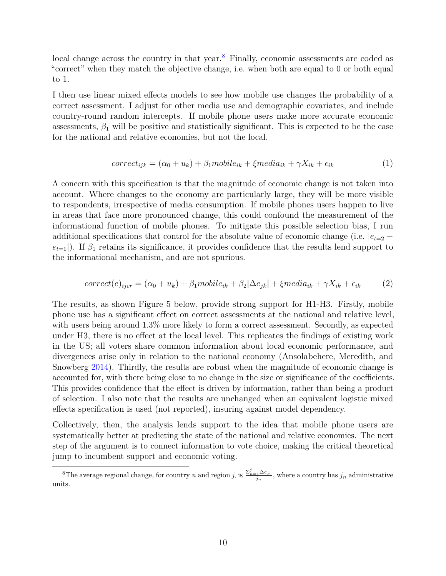local change across the country in that year.<sup>[8](#page-9-0)</sup> Finally, economic assessments are coded as "correct" when they match the objective change, i.e. when both are equal to 0 or both equal to 1.

I then use linear mixed effects models to see how mobile use changes the probability of a correct assessment. I adjust for other media use and demographic covariates, and include country-round random intercepts. If mobile phone users make more accurate economic assessments,  $\beta_1$  will be positive and statistically significant. This is expected to be the case for the national and relative economies, but not the local.

$$
correct_{ijk} = (\alpha_0 + u_k) + \beta_1 mobile_{ik} + \xi media_{ik} + \gamma X_{ik} + \epsilon_{ik}
$$
\n(1)

A concern with this specification is that the magnitude of economic change is not taken into account. Where changes to the economy are particularly large, they will be more visible to respondents, irrespective of media consumption. If mobile phones users happen to live in areas that face more pronounced change, this could confound the measurement of the informational function of mobile phones. To mitigate this possible selection bias, I run additional specifications that control for the absolute value of economic change (i.e.  $|e_{t=2}$  $e_{t=1}$ ). If  $\beta_1$  retains its significance, it provides confidence that the results lend support to the informational mechanism, and are not spurious.

$$
correct(e)_{ijcr} = (\alpha_0 + u_k) + \beta_1 mobile_{ik} + \beta_2 |\Delta e_{jk}| + \xi media_{ik} + \gamma X_{ik} + \epsilon_{ik}
$$
 (2)

The results, as shown Figure 5 below, provide strong support for H1-H3. Firstly, mobile phone use has a significant effect on correct assessments at the national and relative level, with users being around 1.3% more likely to form a correct assessment. Secondly, as expected under H3, there is no effect at the local level. This replicates the findings of existing work in the US; all voters share common information about local economic performance, and divergences arise only in relation to the national economy (Ansolabehere, Meredith, and Snowberg [2014\)](#page-34-5). Thirdly, the results are robust when the magnitude of economic change is accounted for, with there being close to no change in the size or significance of the coefficients. This provides confidence that the effect is driven by information, rather than being a product of selection. I also note that the results are unchanged when an equivalent logistic mixed effects specification is used (not reported), insuring against model dependency.

Collectively, then, the analysis lends support to the idea that mobile phone users are systematically better at predicting the state of the national and relative economies. The next step of the argument is to connect information to vote choice, making the critical theoretical jump to incumbent support and economic voting.

<span id="page-9-0"></span><sup>&</sup>lt;sup>8</sup>The average regional change, for country *n* and region *j*, is  $\frac{\sum_{n=1}^{j} \Delta e_{jc}}{j_n}$ , where a country has  $j_n$  administrative units.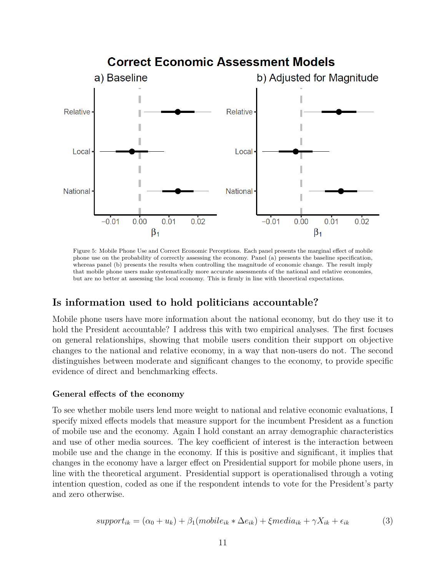

Figure 5: Mobile Phone Use and Correct Economic Perceptions. Each panel presents the marginal effect of mobile phone use on the probability of correctly assessing the economy. Panel (a) presents the baseline specification, whereas panel (b) presents the results when controlling the magnitude of economic change. The result imply that mobile phone users make systematically more accurate assessments of the national and relative economies, but are no better at assessing the local economy. This is firmly in line with theoretical expectations.

### **Is information used to hold politicians accountable?**

Mobile phone users have more information about the national economy, but do they use it to hold the President accountable? I address this with two empirical analyses. The first focuses on general relationships, showing that mobile users condition their support on objective changes to the national and relative economy, in a way that non-users do not. The second distinguishes between moderate and significant changes to the economy, to provide specific evidence of direct and benchmarking effects.

#### **General effects of the economy**

To see whether mobile users lend more weight to national and relative economic evaluations, I specify mixed effects models that measure support for the incumbent President as a function of mobile use and the economy. Again I hold constant an array demographic characteristics and use of other media sources. The key coefficient of interest is the interaction between mobile use and the change in the economy. If this is positive and significant, it implies that changes in the economy have a larger effect on Presidential support for mobile phone users, in line with the theoretical argument. Presidential support is operationalised through a voting intention question, coded as one if the respondent intends to vote for the President's party and zero otherwise.

$$
support_{ik} = (\alpha_0 + u_k) + \beta_1 (mobile_{ik} * \Delta e_{ik}) + \xi media_{ik} + \gamma X_{ik} + \epsilon_{ik} \tag{3}
$$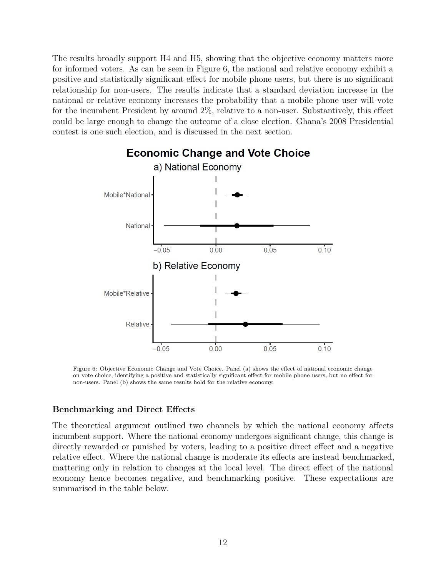The results broadly support H4 and H5, showing that the objective economy matters more for informed voters. As can be seen in Figure 6, the national and relative economy exhibit a positive and statistically significant effect for mobile phone users, but there is no significant relationship for non-users. The results indicate that a standard deviation increase in the national or relative economy increases the probability that a mobile phone user will vote for the incumbent President by around 2%, relative to a non-user. Substantively, this effect could be large enough to change the outcome of a close election. Ghana's 2008 Presidential contest is one such election, and is discussed in the next section.



Figure 6: Objective Economic Change and Vote Choice. Panel (a) shows the effect of national economic change on vote choice, identifying a positive and statistically significant effect for mobile phone users, but no effect for non-users. Panel (b) shows the same results hold for the relative economy.

#### **Benchmarking and Direct Effects**

The theoretical argument outlined two channels by which the national economy affects incumbent support. Where the national economy undergoes significant change, this change is directly rewarded or punished by voters, leading to a positive direct effect and a negative relative effect. Where the national change is moderate its effects are instead benchmarked, mattering only in relation to changes at the local level. The direct effect of the national economy hence becomes negative, and benchmarking positive. These expectations are summarised in the table below.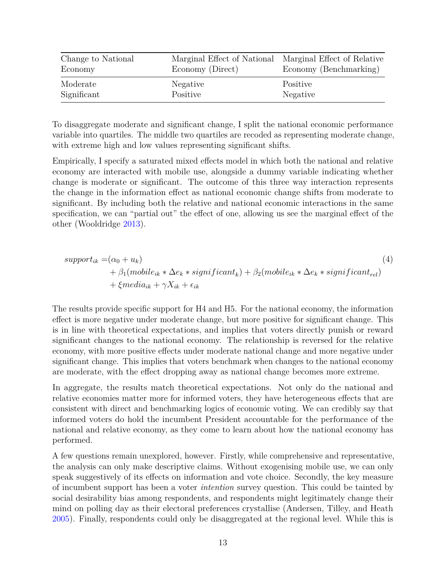| Change to National | Marginal Effect of National Marginal Effect of Relative |                        |
|--------------------|---------------------------------------------------------|------------------------|
| Economy            | Economy (Direct)                                        | Economy (Benchmarking) |
| Moderate           | Negative                                                | Positive               |
| Significant        | Positive                                                | Negative               |

To disaggregate moderate and significant change, I split the national economic performance variable into quartiles. The middle two quartiles are recoded as representing moderate change, with extreme high and low values representing significant shifts.

Empirically, I specify a saturated mixed effects model in which both the national and relative economy are interacted with mobile use, alongside a dummy variable indicating whether change is moderate or significant. The outcome of this three way interaction represents the change in the information effect as national economic change shifts from moderate to significant. By including both the relative and national economic interactions in the same specification, we can "partial out" the effect of one, allowing us see the marginal effect of the other (Wooldridge [2013\)](#page-41-3).

$$
support_{ik} = (\alpha_0 + u_k)
$$
  
+  $\beta_1 (mobile_{ik} * \Delta e_k * significant_k) + \beta_2 (mobile_{ik} * \Delta e_k * significant_{rel})$   
+  $\xi media_{ik} + \gamma X_{ik} + \epsilon_{ik}$  (4)

The results provide specific support for H4 and H5. For the national economy, the information effect is more negative under moderate change, but more positive for significant change. This is in line with theoretical expectations, and implies that voters directly punish or reward significant changes to the national economy. The relationship is reversed for the relative economy, with more positive effects under moderate national change and more negative under significant change. This implies that voters benchmark when changes to the national economy are moderate, with the effect dropping away as national change becomes more extreme.

In aggregate, the results match theoretical expectations. Not only do the national and relative economies matter more for informed voters, they have heterogeneous effects that are consistent with direct and benchmarking logics of economic voting. We can credibly say that informed voters do hold the incumbent President accountable for the performance of the national and relative economy, as they come to learn about how the national economy has performed.

A few questions remain unexplored, however. Firstly, while comprehensive and representative, the analysis can only make descriptive claims. Without exogenising mobile use, we can only speak suggestively of its effects on information and vote choice. Secondly, the key measure of incumbent support has been a voter *intention* survey question. This could be tainted by social desirability bias among respondents, and respondents might legitimately change their mind on polling day as their electoral preferences crystallise (Andersen, Tilley, and Heath [2005\)](#page-34-7). Finally, respondents could only be disaggregated at the regional level. While this is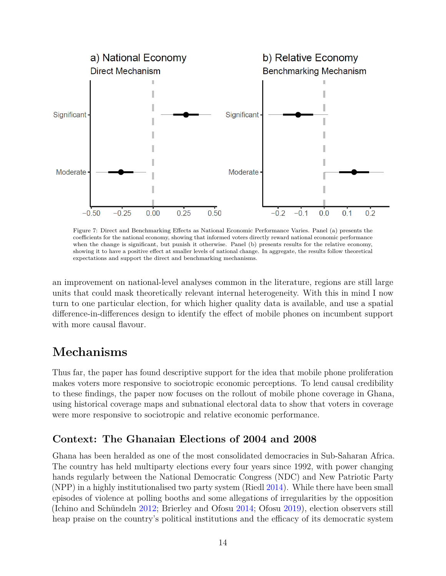

Figure 7: Direct and Benchmarking Effects as National Economic Performance Varies. Panel (a) presents the coefficients for the national economy, showing that informed voters directly reward national economic performance when the change is significant, but punish it otherwise. Panel (b) presents results for the relative economy, showing it to have a positive effect at smaller levels of national change. In aggregate, the results follow theoretical expectations and support the direct and benchmarking mechanisms.

an improvement on national-level analyses common in the literature, regions are still large units that could mask theoretically relevant internal heterogeneity. With this in mind I now turn to one particular election, for which higher quality data is available, and use a spatial difference-in-differences design to identify the effect of mobile phones on incumbent support with more causal flavour.

## **Mechanisms**

Thus far, the paper has found descriptive support for the idea that mobile phone proliferation makes voters more responsive to sociotropic economic perceptions. To lend causal credibility to these findings, the paper now focuses on the rollout of mobile phone coverage in Ghana, using historical coverage maps and subnational electoral data to show that voters in coverage were more responsive to sociotropic and relative economic performance.

## **Context: The Ghanaian Elections of 2004 and 2008**

Ghana has been heralded as one of the most consolidated democracies in Sub-Saharan Africa. The country has held multiparty elections every four years since 1992, with power changing hands regularly between the National Democratic Congress (NDC) and New Patriotic Party (NPP) in a highly institutionalised two party system (Riedl [2014\)](#page-40-8). While there have been small episodes of violence at polling booths and some allegations of irregularities by the opposition (Ichino and Schündeln [2012;](#page-38-6) Brierley and Ofosu [2014;](#page-35-8) Ofosu [2019\)](#page-39-10), election observers still heap praise on the country's political institutions and the efficacy of its democratic system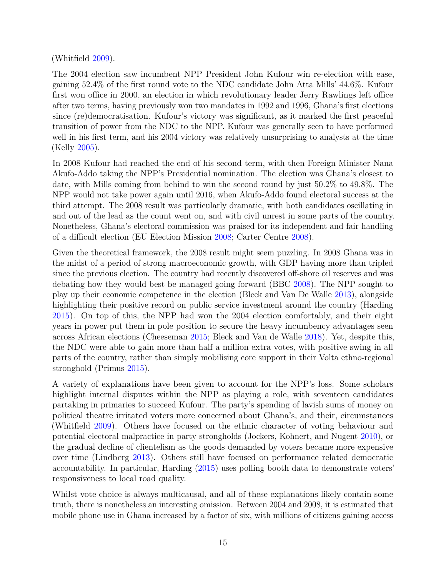### (Whitfield [2009\)](#page-41-4).

The 2004 election saw incumbent NPP President John Kufour win re-election with ease, gaining 52.4% of the first round vote to the NDC candidate John Atta Mills' 44.6%. Kufour first won office in 2000, an election in which revolutionary leader Jerry Rawlings left office after two terms, having previously won two mandates in 1992 and 1996, Ghana's first elections since (re)democratisation. Kufour's victory was significant, as it marked the first peaceful transition of power from the NDC to the NPP. Kufour was generally seen to have performed well in his first term, and his 2004 victory was relatively unsurprising to analysts at the time (Kelly [2005\)](#page-38-7).

In 2008 Kufour had reached the end of his second term, with then Foreign Minister Nana Akufo-Addo taking the NPP's Presidential nomination. The election was Ghana's closest to date, with Mills coming from behind to win the second round by just 50.2% to 49.8%. The NPP would not take power again until 2016, when Akufo-Addo found electoral success at the third attempt. The 2008 result was particularly dramatic, with both candidates oscillating in and out of the lead as the count went on, and with civil unrest in some parts of the country. Nonetheless, Ghana's electoral commission was praised for its independent and fair handling of a difficult election (EU Election Mission [2008;](#page-36-11) Carter Centre [2008\)](#page-35-9).

Given the theoretical framework, the 2008 result might seem puzzling. In 2008 Ghana was in the midst of a period of strong macroeconomic growth, with GDP having more than tripled since the previous election. The country had recently discovered off-shore oil reserves and was debating how they would best be managed going forward (BBC [2008\)](#page-34-8). The NPP sought to play up their economic competence in the election (Bleck and Van De Walle [2013\)](#page-35-10), alongside highlighting their positive record on public service investment around the country (Harding [2015\)](#page-37-2). On top of this, the NPP had won the 2004 election comfortably, and their eight years in power put them in pole position to secure the heavy incumbency advantages seen across African elections (Cheeseman [2015;](#page-35-1) Bleck and Van de Walle [2018\)](#page-35-5). Yet, despite this, the NDC were able to gain more than half a million extra votes, with positive swing in all parts of the country, rather than simply mobilising core support in their Volta ethno-regional stronghold (Primus [2015\)](#page-40-9).

A variety of explanations have been given to account for the NPP's loss. Some scholars highlight internal disputes within the NPP as playing a role, with seventeen candidates partaking in primaries to succeed Kufour. The party's spending of lavish sums of money on political theatre irritated voters more concerned about Ghana's, and their, circumstances (Whitfield [2009\)](#page-41-4). Others have focused on the ethnic character of voting behaviour and potential electoral malpractice in party strongholds (Jockers, Kohnert, and Nugent [2010\)](#page-38-8), or the gradual decline of clientelism as the goods demanded by voters became more expensive over time (Lindberg [2013\)](#page-39-11). Others still have focused on performance related democratic accountability. In particular, Harding [\(2015\)](#page-37-2) uses polling booth data to demonstrate voters' responsiveness to local road quality.

Whilst vote choice is always multicausal, and all of these explanations likely contain some truth, there is nonetheless an interesting omission. Between 2004 and 2008, it is estimated that mobile phone use in Ghana increased by a factor of six, with millions of citizens gaining access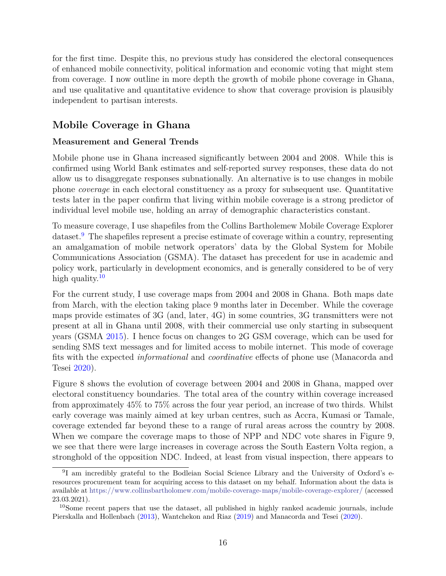for the first time. Despite this, no previous study has considered the electoral consequences of enhanced mobile connectivity, political information and economic voting that might stem from coverage. I now outline in more depth the growth of mobile phone coverage in Ghana, and use qualitative and quantitative evidence to show that coverage provision is plausibly independent to partisan interests.

## **Mobile Coverage in Ghana**

### **Measurement and General Trends**

Mobile phone use in Ghana increased significantly between 2004 and 2008. While this is confirmed using World Bank estimates and self-reported survey responses, these data do not allow us to disaggregate responses subnationally. An alternative is to use changes in mobile phone *coverage* in each electoral constituency as a proxy for subsequent use. Quantitative tests later in the paper confirm that living within mobile coverage is a strong predictor of individual level mobile use, holding an array of demographic characteristics constant.

To measure coverage, I use shapefiles from the Collins Bartholemew Mobile Coverage Explorer dataset.<sup>[9](#page-15-0)</sup> The shapefiles represent a precise estimate of coverage within a country, representing an amalgamation of mobile network operators' data by the Global System for Mobile Communications Association (GSMA). The dataset has precedent for use in academic and policy work, particularly in development economics, and is generally considered to be of very high quality.<sup>[10](#page-15-1)</sup>

For the current study, I use coverage maps from 2004 and 2008 in Ghana. Both maps date from March, with the election taking place 9 months later in December. While the coverage maps provide estimates of 3G (and, later, 4G) in some countries, 3G transmitters were not present at all in Ghana until 2008, with their commercial use only starting in subsequent years (GSMA [2015\)](#page-37-5). I hence focus on changes to 2G GSM coverage, which can be used for sending SMS text messages and for limited access to mobile internet. This mode of coverage fits with the expected *informational* and *coordinative* effects of phone use (Manacorda and Tesei [2020\)](#page-39-1).

Figure 8 shows the evolution of coverage between 2004 and 2008 in Ghana, mapped over electoral constituency boundaries. The total area of the country within coverage increased from approximately 45% to 75% across the four year period, an increase of two thirds. Whilst early coverage was mainly aimed at key urban centres, such as Accra, Kumasi or Tamale, coverage extended far beyond these to a range of rural areas across the country by 2008. When we compare the coverage maps to those of NPP and NDC vote shares in Figure 9, we see that there were large increases in coverage across the South Eastern Volta region, a stronghold of the opposition NDC. Indeed, at least from visual inspection, there appears to

<span id="page-15-0"></span><sup>&</sup>lt;sup>9</sup>I am incredibly grateful to the Bodleian Social Science Library and the University of Oxford's eresources procurement team for acquiring access to this dataset on my behalf. Information about the data is available at <https://www.collinsbartholomew.com/mobile-coverage-maps/mobile-coverage-explorer/> (accessed 23.03.2021).

<span id="page-15-1"></span><sup>&</sup>lt;sup>10</sup>Some recent papers that use the dataset, all published in highly ranked academic journals, include Pierskalla and Hollenbach [\(2013\)](#page-40-1), Wantchekon and Riaz [\(2019\)](#page-41-5) and Manacorda and Tesei [\(2020\)](#page-39-1).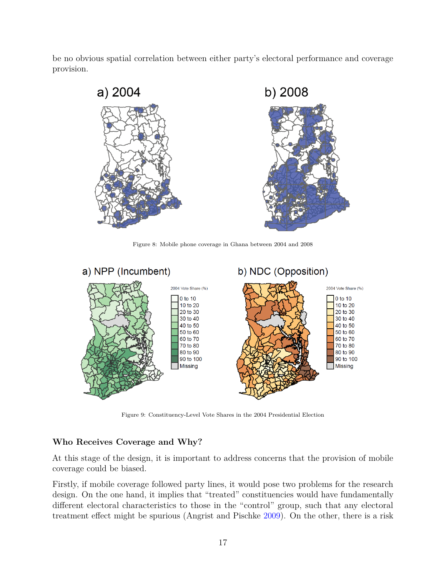be no obvious spatial correlation between either party's electoral performance and coverage provision.



Figure 8: Mobile phone coverage in Ghana between 2004 and 2008



Figure 9: Constituency-Level Vote Shares in the 2004 Presidential Election

### **Who Receives Coverage and Why?**

At this stage of the design, it is important to address concerns that the provision of mobile coverage could be biased.

Firstly, if mobile coverage followed party lines, it would pose two problems for the research design. On the one hand, it implies that "treated" constituencies would have fundamentally different electoral characteristics to those in the "control" group, such that any electoral treatment effect might be spurious (Angrist and Pischke [2009\)](#page-34-9). On the other, there is a risk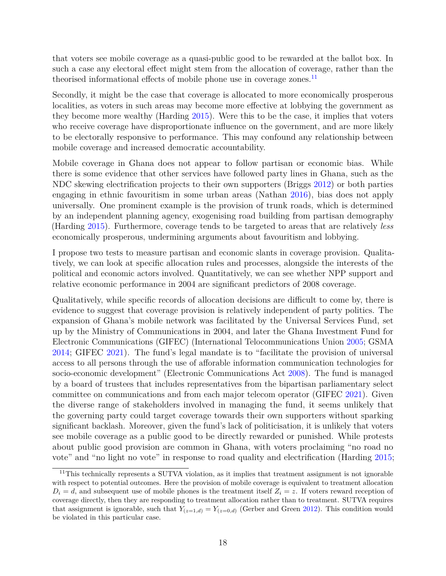that voters see mobile coverage as a quasi-public good to be rewarded at the ballot box. In such a case any electoral effect might stem from the allocation of coverage, rather than the theorised informational effects of mobile phone use in coverage zones.<sup>[11](#page-17-0)</sup>

Secondly, it might be the case that coverage is allocated to more economically prosperous localities, as voters in such areas may become more effective at lobbying the government as they become more wealthy (Harding [2015\)](#page-37-2). Were this to be the case, it implies that voters who receive coverage have disproportionate influence on the government, and are more likely to be electorally responsive to performance. This may confound any relationship between mobile coverage and increased democratic accountability.

Mobile coverage in Ghana does not appear to follow partisan or economic bias. While there is some evidence that other services have followed party lines in Ghana, such as the NDC skewing electrification projects to their own supporters (Briggs [2012\)](#page-35-11) or both parties engaging in ethnic favouritism in some urban areas (Nathan [2016\)](#page-39-12), bias does not apply universally. One prominent example is the provision of trunk roads, which is determined by an independent planning agency, exogenising road building from partisan demography (Harding [2015\)](#page-37-2). Furthermore, coverage tends to be targeted to areas that are relatively *less* economically prosperous, undermining arguments about favouritism and lobbying.

I propose two tests to measure partisan and economic slants in coverage provision. Qualitatively, we can look at specific allocation rules and processes, alongside the interests of the political and economic actors involved. Quantitatively, we can see whether NPP support and relative economic performance in 2004 are significant predictors of 2008 coverage.

Qualitatively, while specific records of allocation decisions are difficult to come by, there is evidence to suggest that coverage provision is relatively independent of party politics. The expansion of Ghana's mobile network was facilitated by the Universal Services Fund, set up by the Ministry of Communications in 2004, and later the Ghana Investment Fund for Electronic Communications (GIFEC) (International Telocommunications Union [2005;](#page-38-9) GSMA [2014;](#page-37-6) GIFEC [2021\)](#page-37-7). The fund's legal mandate is to "facilitate the provision of universal access to all persons through the use of afforable information communication technologies for socio-economic development" (Electronic Communications Act [2008\)](#page-36-12). The fund is managed by a board of trustees that includes representatives from the bipartisan parliamentary select committee on communications and from each major telecom operator (GIFEC [2021\)](#page-37-7). Given the diverse range of stakeholders involved in managing the fund, it seems unlikely that the governing party could target coverage towards their own supporters without sparking significant backlash. Moreover, given the fund's lack of politicisation, it is unlikely that voters see mobile coverage as a public good to be directly rewarded or punished. While protests about public good provision are common in Ghana, with voters proclaiming "no road no vote" and "no light no vote" in response to road quality and electrification (Harding [2015;](#page-37-2)

<span id="page-17-0"></span><sup>&</sup>lt;sup>11</sup>This technically represents a SUTVA violation, as it implies that treatment assignment is not ignorable with respect to potential outcomes. Here the provision of mobile coverage is equivalent to treatment allocation  $D_i = d$ , and subsequent use of mobile phones is the treatment itself  $Z_i = z$ . If voters reward reception of coverage directly, then they are responding to treatment allocation rather than to treatment. SUTVA requires that assignment is ignorable, such that  $Y_{(z=1,d)} = Y_{(z=0,d)}$  (Gerber and Green [2012\)](#page-37-8). This condition would be violated in this particular case.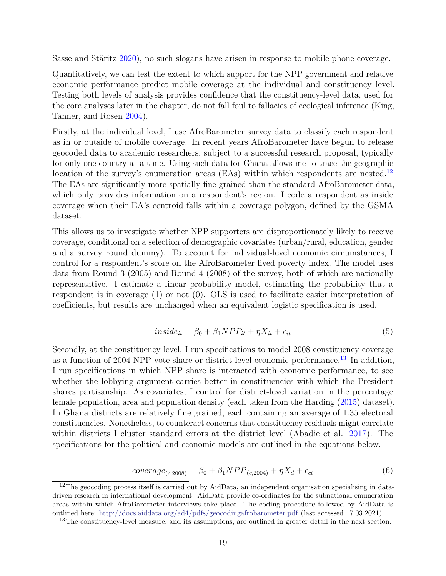Sasse and Stäritz [2020\)](#page-41-6), no such slogans have arisen in response to mobile phone coverage.

Quantitatively, we can test the extent to which support for the NPP government and relative economic performance predict mobile coverage at the individual and constituency level. Testing both levels of analysis provides confidence that the constituency-level data, used for the core analyses later in the chapter, do not fall foul to fallacies of ecological inference (King, Tanner, and Rosen [2004\)](#page-38-10).

Firstly, at the individual level, I use AfroBarometer survey data to classify each respondent as in or outside of mobile coverage. In recent years AfroBarometer have begun to release geocoded data to academic researchers, subject to a successful research proposal, typically for only one country at a time. Using such data for Ghana allows me to trace the geographic location of the survey's enumeration areas (EAs) within which respondents are nested.<sup>[12](#page-18-0)</sup> The EAs are significantly more spatially fine grained than the standard AfroBarometer data, which only provides information on a respondent's region. I code a respondent as inside coverage when their EA's centroid falls within a coverage polygon, defined by the GSMA dataset.

This allows us to investigate whether NPP supporters are disproportionately likely to receive coverage, conditional on a selection of demographic covariates (urban/rural, education, gender and a survey round dummy). To account for individual-level economic circumstances, I control for a respondent's score on the AfroBarometer lived poverty index. The model uses data from Round 3 (2005) and Round 4 (2008) of the survey, both of which are nationally representative. I estimate a linear probability model, estimating the probability that a respondent is in coverage (1) or not (0). OLS is used to facilitate easier interpretation of coefficients, but results are unchanged when an equivalent logistic specification is used.

$$
inside_{it} = \beta_0 + \beta_1 NPP_{it} + \eta X_{it} + \epsilon_{it}
$$
\n
$$
\tag{5}
$$

Secondly, at the constituency level, I run specifications to model 2008 constituency coverage as a function of 2004 NPP vote share or district-level economic performance.[13](#page-18-1) In addition, I run specifications in which NPP share is interacted with economic performance, to see whether the lobbying argument carries better in constituencies with which the President shares partisanship. As covariates, I control for district-level variation in the percentage female population, area and population density (each taken from the Harding [\(2015\)](#page-37-2) dataset). In Ghana districts are relatively fine grained, each containing an average of 1.35 electoral constituencies. Nonetheless, to counteract concerns that constituency residuals might correlate within districts I cluster standard errors at the district level (Abadie et al. [2017\)](#page-34-10). The specifications for the political and economic models are outlined in the equations below.

$$
coverage_{(c,2008)} = \beta_0 + \beta_1 NPP_{(c,2004)} + \eta X_d + \epsilon_{ct}
$$
\n(6)

<span id="page-18-0"></span><sup>&</sup>lt;sup>12</sup>The geocoding process itself is carried out by AidData, an independent organisation specialising in datadriven research in international development. AidData provide co-ordinates for the subnational emuneration areas within which AfroBarometer interviews take place. The coding procedure followed by AidData is outlined here: <http://docs.aiddata.org/ad4/pdfs/geocodingafrobarometer.pdf> (last accessed 17.03.2021)

<span id="page-18-1"></span><sup>&</sup>lt;sup>13</sup>The constituency-level measure, and its assumptions, are outlined in greater detail in the next section.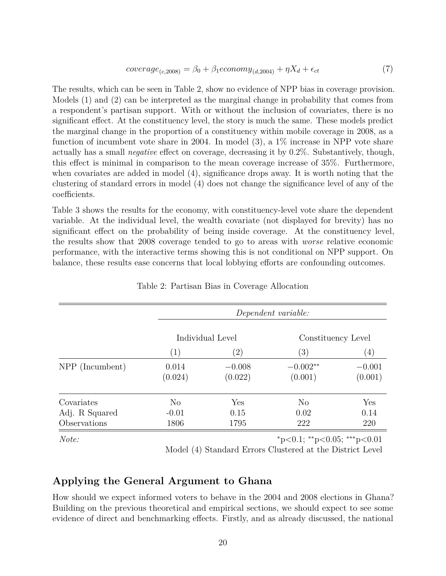$$
coverage_{(c,2008)} = \beta_0 + \beta_1 economy_{(d,2004)} + \eta X_d + \epsilon_{ct}
$$
\n(7)

The results, which can be seen in Table 2, show no evidence of NPP bias in coverage provision. Models (1) and (2) can be interpreted as the marginal change in probability that comes from a respondent's partisan support. With or without the inclusion of covariates, there is no significant effect. At the constituency level, the story is much the same. These models predict the marginal change in the proportion of a constituency within mobile coverage in 2008, as a function of incumbent vote share in 2004. In model (3), a 1% increase in NPP vote share actually has a small *negative* effect on coverage, decreasing it by 0.2%. Substantively, though, this effect is minimal in comparison to the mean coverage increase of 35%. Furthermore, when covariates are added in model (4), significance drops away. It is worth noting that the clustering of standard errors in model (4) does not change the significance level of any of the coefficients.

Table 3 shows the results for the economy, with constituency-level vote share the dependent variable. At the individual level, the wealth covariate (not displayed for brevity) has no significant effect on the probability of being inside coverage. At the constituency level, the results show that 2008 coverage tended to go to areas with *worse* relative economic performance, with the interactive terms showing this is not conditional on NPP support. On balance, these results ease concerns that local lobbying efforts are confounding outcomes.

|                 |                  | Dependent variable: |                       |                     |  |
|-----------------|------------------|---------------------|-----------------------|---------------------|--|
|                 |                  | Individual Level    | Constituency Level    |                     |  |
|                 | (1)              | $\left( 2\right)$   | $\left(3\right)$      | $\left(4\right)$    |  |
| NPP (Incumbent) | 0.014<br>(0.024) | $-0.008$<br>(0.022) | $-0.002**$<br>(0.001) | $-0.001$<br>(0.001) |  |
| Covariates      | $\rm No$         | Yes                 | N <sub>o</sub>        | Yes                 |  |
| Adj. R Squared  | $-0.01$          | 0.15                | 0.02                  | 0.14                |  |
| Observations    | 1806             | 1795                | 222                   | 220                 |  |

Table 2: Partisan Bias in Coverage Allocation

*Note:* <sup>∗</sup>p*<*0.1; ∗∗p*<*0.05; ∗∗∗p*<*0.01

Model (4) Standard Errors Clustered at the District Level

## **Applying the General Argument to Ghana**

How should we expect informed voters to behave in the 2004 and 2008 elections in Ghana? Building on the previous theoretical and empirical sections, we should expect to see some evidence of direct and benchmarking effects. Firstly, and as already discussed, the national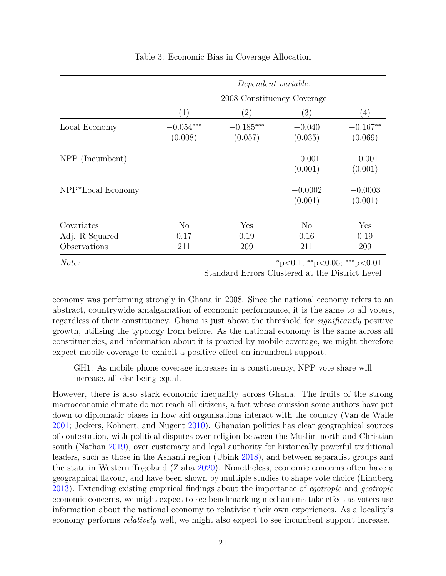|                   |                        | Dependent variable:        |                      |                       |  |
|-------------------|------------------------|----------------------------|----------------------|-----------------------|--|
|                   |                        | 2008 Constituency Coverage |                      |                       |  |
|                   | $\left( 1\right)$      | $\left( 2\right)$          | (3)                  | (4)                   |  |
| Local Economy     | $-0.054***$<br>(0.008) | $-0.185***$<br>(0.057)     | $-0.040$<br>(0.035)  | $-0.167**$<br>(0.069) |  |
| NPP (Incumbent)   |                        |                            | $-0.001$<br>(0.001)  | $-0.001$<br>(0.001)   |  |
| NPP*Local Economy |                        |                            | $-0.0002$<br>(0.001) | $-0.0003$<br>(0.001)  |  |
| Covariates        | $\rm No$               | Yes                        | $\rm No$             | Yes                   |  |
| Adj. R Squared    | 0.17                   | 0.19                       | 0.16                 | 0.19                  |  |
| Observations      | 211                    | 209                        | 211                  | 209                   |  |

#### Table 3: Economic Bias in Coverage Allocation

*Note:* <sup>∗</sup>p*<*0.1; ∗∗p*<*0.05; ∗∗∗p*<*0.01

Standard Errors Clustered at the District Level

economy was performing strongly in Ghana in 2008. Since the national economy refers to an abstract, countrywide amalgamation of economic performance, it is the same to all voters, regardless of their constituency. Ghana is just above the threshold for *significantly* positive growth, utilising the typology from before. As the national economy is the same across all constituencies, and information about it is proxied by mobile coverage, we might therefore expect mobile coverage to exhibit a positive effect on incumbent support.

GH1: As mobile phone coverage increases in a constituency, NPP vote share will increase, all else being equal.

However, there is also stark economic inequality across Ghana. The fruits of the strong macroeconomic climate do not reach all citizens, a fact whose omission some authors have put down to diplomatic biases in how aid organisations interact with the country (Van de Walle [2001;](#page-41-7) Jockers, Kohnert, and Nugent [2010\)](#page-38-8). Ghanaian politics has clear geographical sources of contestation, with political disputes over religion between the Muslim north and Christian south (Nathan [2019\)](#page-39-13), over customary and legal authority for historically powerful traditional leaders, such as those in the Ashanti region (Ubink [2018\)](#page-41-8), and between separatist groups and the state in Western Togoland (Ziaba [2020\)](#page-41-9). Nonetheless, economic concerns often have a geographical flavour, and have been shown by multiple studies to shape vote choice (Lindberg [2013\)](#page-39-11). Extending existing empirical findings about the importance of *egotropic* and *geotropic* economic concerns, we might expect to see benchmarking mechanisms take effect as voters use information about the national economy to relativise their own experiences. As a locality's economy performs *relatively* well, we might also expect to see incumbent support increase.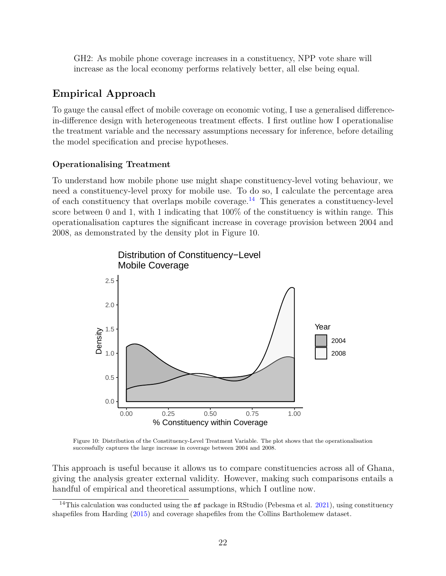GH2: As mobile phone coverage increases in a constituency, NPP vote share will increase as the local economy performs relatively better, all else being equal.

## **Empirical Approach**

To gauge the causal effect of mobile coverage on economic voting, I use a generalised differencein-difference design with heterogeneous treatment effects. I first outline how I operationalise the treatment variable and the necessary assumptions necessary for inference, before detailing the model specification and precise hypotheses.

## **Operationalising Treatment**

To understand how mobile phone use might shape constituency-level voting behaviour, we need a constituency-level proxy for mobile use. To do so, I calculate the percentage area of each constituency that overlaps mobile coverage.<sup>[14](#page-21-0)</sup> This generates a constituency-level score between 0 and 1, with 1 indicating that  $100\%$  of the constituency is within range. This operationalisation captures the significant increase in coverage provision between 2004 and 2008, as demonstrated by the density plot in Figure 10.



Figure 10: Distribution of the Constituency-Level Treatment Variable. The plot shows that the operationalisation successfully captures the large increase in coverage between 2004 and 2008.

This approach is useful because it allows us to compare constituencies across all of Ghana, giving the analysis greater external validity. However, making such comparisons entails a handful of empirical and theoretical assumptions, which I outline now.

<span id="page-21-0"></span><sup>&</sup>lt;sup>14</sup>This calculation was conducted using the  $sf$  package in RStudio (Pebesma et al. [2021\)](#page-40-10), using constituency shapefiles from Harding [\(2015\)](#page-37-2) and coverage shapefiles from the Collins Bartholemew dataset.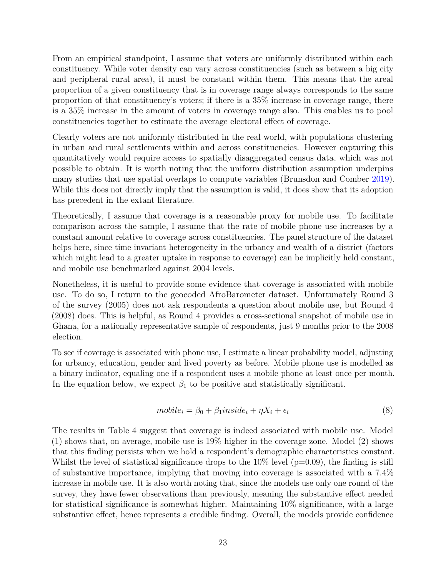From an empirical standpoint, I assume that voters are uniformly distributed within each constituency. While voter density can vary across constituencies (such as between a big city and peripheral rural area), it must be constant within them. This means that the areal proportion of a given constituency that is in coverage range always corresponds to the same proportion of that constituency's voters; if there is a 35% increase in coverage range, there is a 35% increase in the amount of voters in coverage range also. This enables us to pool constituencies together to estimate the average electoral effect of coverage.

Clearly voters are not uniformly distributed in the real world, with populations clustering in urban and rural settlements within and across constituencies. However capturing this quantitatively would require access to spatially disaggregated census data, which was not possible to obtain. It is worth noting that the uniform distribution assumption underpins many studies that use spatial overlaps to compute variables (Brunsdon and Comber [2019\)](#page-35-12). While this does not directly imply that the assumption is valid, it does show that its adoption has precedent in the extant literature.

Theoretically, I assume that coverage is a reasonable proxy for mobile use. To facilitate comparison across the sample, I assume that the rate of mobile phone use increases by a constant amount relative to coverage across constituencies. The panel structure of the dataset helps here, since time invariant heterogeneity in the urbancy and wealth of a district (factors which might lead to a greater uptake in response to coverage) can be implicitly held constant, and mobile use benchmarked against 2004 levels.

Nonetheless, it is useful to provide some evidence that coverage is associated with mobile use. To do so, I return to the geocoded AfroBarometer dataset. Unfortunately Round 3 of the survey (2005) does not ask respondents a question about mobile use, but Round 4 (2008) does. This is helpful, as Round 4 provides a cross-sectional snapshot of mobile use in Ghana, for a nationally representative sample of respondents, just 9 months prior to the 2008 election.

To see if coverage is associated with phone use, I estimate a linear probability model, adjusting for urbancy, education, gender and lived poverty as before. Mobile phone use is modelled as a binary indicator, equaling one if a respondent uses a mobile phone at least once per month. In the equation below, we expect  $\beta_1$  to be positive and statistically significant.

$$
mobile_i = \beta_0 + \beta_1 inside_i + \eta X_i + \epsilon_i \tag{8}
$$

The results in Table 4 suggest that coverage is indeed associated with mobile use. Model (1) shows that, on average, mobile use is 19% higher in the coverage zone. Model (2) shows that this finding persists when we hold a respondent's demographic characteristics constant. Whilst the level of statistical significance drops to the  $10\%$  level ( $p=0.09$ ), the finding is still of substantive importance, implying that moving into coverage is associated with a 7.4% increase in mobile use. It is also worth noting that, since the models use only one round of the survey, they have fewer observations than previously, meaning the substantive effect needed for statistical significance is somewhat higher. Maintaining 10% significance, with a large substantive effect, hence represents a credible finding. Overall, the models provide confidence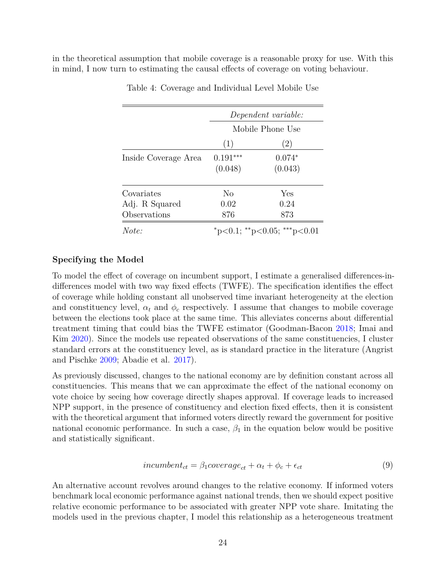in the theoretical assumption that mobile coverage is a reasonable proxy for use. With this in mind, I now turn to estimating the causal effects of coverage on voting behaviour.

|                      | Dependent variable: |                             |  |
|----------------------|---------------------|-----------------------------|--|
|                      |                     | Mobile Phone Use            |  |
|                      | (1)                 | (2)                         |  |
| Inside Coverage Area | $0.191***$          | $0.074*$                    |  |
|                      | (0.048)             | (0.043)                     |  |
| Covariates           | No                  | Yes                         |  |
| Adj. R Squared       | 0.02                | 0.24                        |  |
| Observations         | 876                 | 873                         |  |
| Note:                |                     | *p<0.1; **p<0.05; ***p<0.01 |  |

Table 4: Coverage and Individual Level Mobile Use

#### **Specifying the Model**

To model the effect of coverage on incumbent support, I estimate a generalised differences-indifferences model with two way fixed effects (TWFE). The specification identifies the effect of coverage while holding constant all unobserved time invariant heterogeneity at the election and constituency level,  $\alpha_t$  and  $\phi_c$  respectively. I assume that changes to mobile coverage between the elections took place at the same time. This alleviates concerns about differential treatment timing that could bias the TWFE estimator (Goodman-Bacon [2018;](#page-37-9) Imai and Kim [2020\)](#page-38-11). Since the models use repeated observations of the same constituencies, I cluster standard errors at the constituency level, as is standard practice in the literature (Angrist and Pischke [2009;](#page-34-9) Abadie et al. [2017\)](#page-34-10).

As previously discussed, changes to the national economy are by definition constant across all constituencies. This means that we can approximate the effect of the national economy on vote choice by seeing how coverage directly shapes approval. If coverage leads to increased NPP support, in the presence of constituency and election fixed effects, then it is consistent with the theoretical argument that informed voters directly reward the government for positive national economic performance. In such a case,  $\beta_1$  in the equation below would be positive and statistically significant.

$$
incumber_{ct} = \beta_1 coverage_{ct} + \alpha_t + \phi_c + \epsilon_{ct}
$$
\n<sup>(9)</sup>

An alternative account revolves around changes to the relative economy. If informed voters benchmark local economic performance against national trends, then we should expect positive relative economic performance to be associated with greater NPP vote share. Imitating the models used in the previous chapter, I model this relationship as a heterogeneous treatment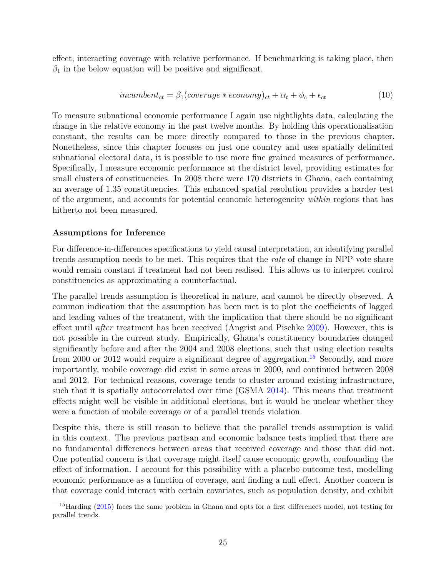effect, interacting coverage with relative performance. If benchmarking is taking place, then  $\beta_1$  in the below equation will be positive and significant.

$$
incumbent_{ct} = \beta_1 (coverage * economy)_{ct} + \alpha_t + \phi_c + \epsilon_{ct}
$$
\n(10)

To measure subnational economic performance I again use nightlights data, calculating the change in the relative economy in the past twelve months. By holding this operationalisation constant, the results can be more directly compared to those in the previous chapter. Nonetheless, since this chapter focuses on just one country and uses spatially delimited subnational electoral data, it is possible to use more fine grained measures of performance. Specifically, I measure economic performance at the district level, providing estimates for small clusters of constituencies. In 2008 there were 170 districts in Ghana, each containing an average of 1.35 constituencies. This enhanced spatial resolution provides a harder test of the argument, and accounts for potential economic heterogeneity *within* regions that has hitherto not been measured.

#### **Assumptions for Inference**

For difference-in-differences specifications to yield causal interpretation, an identifying parallel trends assumption needs to be met. This requires that the *rate* of change in NPP vote share would remain constant if treatment had not been realised. This allows us to interpret control constituencies as approximating a counterfactual.

The parallel trends assumption is theoretical in nature, and cannot be directly observed. A common indication that the assumption has been met is to plot the coefficients of lagged and leading values of the treatment, with the implication that there should be no significant effect until *after* treatment has been received (Angrist and Pischke [2009\)](#page-34-9). However, this is not possible in the current study. Empirically, Ghana's constituency boundaries changed significantly before and after the 2004 and 2008 elections, such that using election results from 2000 or 2012 would require a significant degree of aggregation.<sup>[15](#page-24-0)</sup> Secondly, and more importantly, mobile coverage did exist in some areas in 2000, and continued between 2008 and 2012. For technical reasons, coverage tends to cluster around existing infrastructure, such that it is spatially autocorrelated over time (GSMA [2014\)](#page-37-6). This means that treatment effects might well be visible in additional elections, but it would be unclear whether they were a function of mobile coverage or of a parallel trends violation.

Despite this, there is still reason to believe that the parallel trends assumption is valid in this context. The previous partisan and economic balance tests implied that there are no fundamental differences between areas that received coverage and those that did not. One potential concern is that coverage might itself cause economic growth, confounding the effect of information. I account for this possibility with a placebo outcome test, modelling economic performance as a function of coverage, and finding a null effect. Another concern is that coverage could interact with certain covariates, such as population density, and exhibit

<span id="page-24-0"></span><sup>&</sup>lt;sup>15</sup>Harding [\(2015\)](#page-37-2) faces the same problem in Ghana and opts for a first differences model, not testing for parallel trends.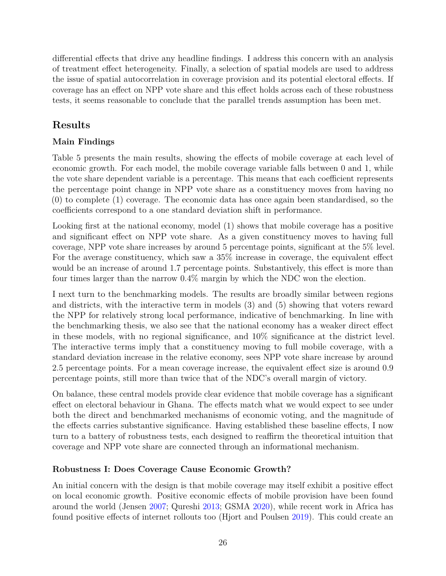differential effects that drive any headline findings. I address this concern with an analysis of treatment effect heterogeneity. Finally, a selection of spatial models are used to address the issue of spatial autocorrelation in coverage provision and its potential electoral effects. If coverage has an effect on NPP vote share and this effect holds across each of these robustness tests, it seems reasonable to conclude that the parallel trends assumption has been met.

## **Results**

## **Main Findings**

Table 5 presents the main results, showing the effects of mobile coverage at each level of economic growth. For each model, the mobile coverage variable falls between 0 and 1, while the vote share dependent variable is a percentage. This means that each coefficient represents the percentage point change in NPP vote share as a constituency moves from having no (0) to complete (1) coverage. The economic data has once again been standardised, so the coefficients correspond to a one standard deviation shift in performance.

Looking first at the national economy, model (1) shows that mobile coverage has a positive and significant effect on NPP vote share. As a given constituency moves to having full coverage, NPP vote share increases by around 5 percentage points, significant at the 5% level. For the average constituency, which saw a 35% increase in coverage, the equivalent effect would be an increase of around 1.7 percentage points. Substantively, this effect is more than four times larger than the narrow 0.4% margin by which the NDC won the election.

I next turn to the benchmarking models. The results are broadly similar between regions and districts, with the interactive term in models (3) and (5) showing that voters reward the NPP for relatively strong local performance, indicative of benchmarking. In line with the benchmarking thesis, we also see that the national economy has a weaker direct effect in these models, with no regional significance, and  $10\%$  significance at the district level. The interactive terms imply that a constituency moving to full mobile coverage, with a standard deviation increase in the relative economy, sees NPP vote share increase by around 2.5 percentage points. For a mean coverage increase, the equivalent effect size is around 0.9 percentage points, still more than twice that of the NDC's overall margin of victory.

On balance, these central models provide clear evidence that mobile coverage has a significant effect on electoral behaviour in Ghana. The effects match what we would expect to see under both the direct and benchmarked mechanisms of economic voting, and the magnitude of the effects carries substantive significance. Having established these baseline effects, I now turn to a battery of robustness tests, each designed to reaffirm the theoretical intuition that coverage and NPP vote share are connected through an informational mechanism.

## **Robustness I: Does Coverage Cause Economic Growth?**

An initial concern with the design is that mobile coverage may itself exhibit a positive effect on local economic growth. Positive economic effects of mobile provision have been found around the world (Jensen [2007;](#page-38-12) Qureshi [2013;](#page-40-11) GSMA [2020\)](#page-37-10), while recent work in Africa has found positive effects of internet rollouts too (Hjort and Poulsen [2019\)](#page-37-11). This could create an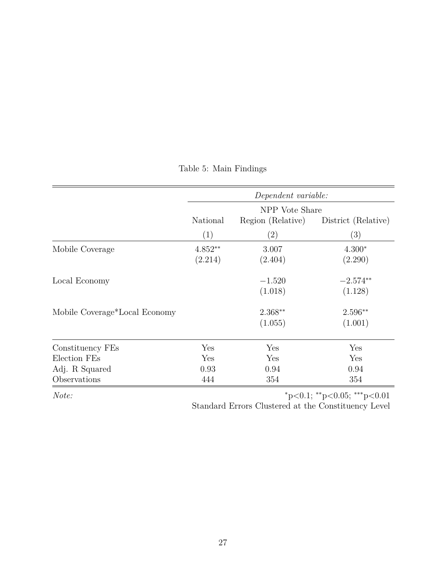|                               |                | Dependent variable: |                     |
|-------------------------------|----------------|---------------------|---------------------|
|                               | NPP Vote Share |                     |                     |
|                               | National       | Region (Relative)   | District (Relative) |
|                               | (1)            | $\left( 2\right)$   | (3)                 |
| Mobile Coverage               | $4.852**$      | 3.007               | $4.300*$            |
|                               | (2.214)        | (2.404)             | (2.290)             |
| Local Economy                 |                | $-1.520$            | $-2.574**$          |
|                               |                | (1.018)             | (1.128)             |
| Mobile Coverage*Local Economy |                | $2.368**$           | 2.596**             |
|                               |                | (1.055)             | (1.001)             |
| Constituency FEs              | Yes            | Yes                 | Yes                 |
| Election FEs                  | Yes            | Yes                 | Yes                 |
| Adj. R Squared                | 0.93           | 0.94                | 0.94                |
| Observations                  | 444            | 354                 | 354                 |

## Table 5: Main Findings

*Note:* <sup>∗</sup>p*<*0.1; ∗∗p*<*0.05; ∗∗∗p*<*0.01

Standard Errors Clustered at the Constituency Level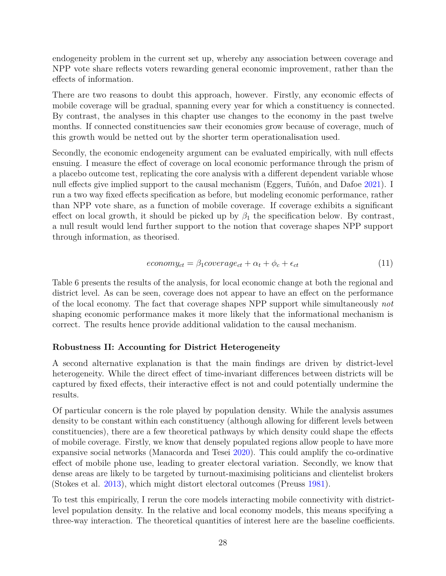endogeneity problem in the current set up, whereby any association between coverage and NPP vote share reflects voters rewarding general economic improvement, rather than the effects of information.

There are two reasons to doubt this approach, however. Firstly, any economic effects of mobile coverage will be gradual, spanning every year for which a constituency is connected. By contrast, the analyses in this chapter use changes to the economy in the past twelve months. If connected constituencies saw their economies grow because of coverage, much of this growth would be netted out by the shorter term operationalisation used.

Secondly, the economic endogeneity argument can be evaluated empirically, with null effects ensuing. I measure the effect of coverage on local economic performance through the prism of a placebo outcome test, replicating the core analysis with a different dependent variable whose null effects give implied support to the causal mechanism (Eggers, Tuñón, and Dafoe [2021\)](#page-36-13). I run a two way fixed effects specification as before, but modeling economic performance, rather than NPP vote share, as a function of mobile coverage. If coverage exhibits a significant effect on local growth, it should be picked up by  $\beta_1$  the specification below. By contrast, a null result would lend further support to the notion that coverage shapes NPP support through information, as theorised.

$$
econom y_{ct} = \beta_1 coverage_{ct} + \alpha_t + \phi_c + \epsilon_{ct}
$$
\n(11)

Table 6 presents the results of the analysis, for local economic change at both the regional and district level. As can be seen, coverage does not appear to have an effect on the performance of the local economy. The fact that coverage shapes NPP support while simultaneously *not* shaping economic performance makes it more likely that the informational mechanism is correct. The results hence provide additional validation to the causal mechanism.

### **Robustness II: Accounting for District Heterogeneity**

A second alternative explanation is that the main findings are driven by district-level heterogeneity. While the direct effect of time-invariant differences between districts will be captured by fixed effects, their interactive effect is not and could potentially undermine the results.

Of particular concern is the role played by population density. While the analysis assumes density to be constant within each constituency (although allowing for different levels between constituencies), there are a few theoretical pathways by which density could shape the effects of mobile coverage. Firstly, we know that densely populated regions allow people to have more expansive social networks (Manacorda and Tesei [2020\)](#page-39-1). This could amplify the co-ordinative effect of mobile phone use, leading to greater electoral variation. Secondly, we know that dense areas are likely to be targeted by turnout-maximising politicians and clientelist brokers (Stokes et al. [2013\)](#page-41-10), which might distort electoral outcomes (Preuss [1981\)](#page-40-12).

To test this empirically, I rerun the core models interacting mobile connectivity with districtlevel population density. In the relative and local economy models, this means specifying a three-way interaction. The theoretical quantities of interest here are the baseline coefficients.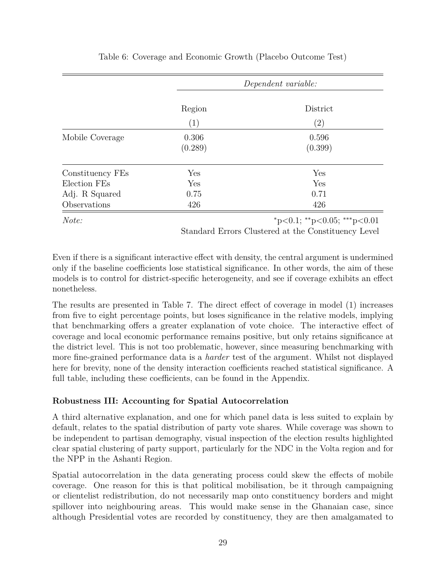|                  |                  | Dependent variable: |  |  |
|------------------|------------------|---------------------|--|--|
|                  | Region           | District            |  |  |
|                  | (1)              | $\left( 2\right)$   |  |  |
| Mobile Coverage  | 0.306<br>(0.289) | 0.596<br>(0.399)    |  |  |
| Constituency FEs | Yes              | Yes                 |  |  |
| Election FEs     | Yes              | Yes                 |  |  |
| Adj. R Squared   | 0.75             | 0.71                |  |  |
| Observations     | 426              | 426                 |  |  |

### Table 6: Coverage and Economic Growth (Placebo Outcome Test)

*Note:* <sup>∗</sup>p*<*0.1; ∗∗p*<*0.05; ∗∗∗p*<*0.01

Standard Errors Clustered at the Constituency Level

Even if there is a significant interactive effect with density, the central argument is undermined only if the baseline coefficients lose statistical significance. In other words, the aim of these models is to control for district-specific heterogeneity, and see if coverage exhibits an effect nonetheless.

The results are presented in Table 7. The direct effect of coverage in model (1) increases from five to eight percentage points, but loses significance in the relative models, implying that benchmarking offers a greater explanation of vote choice. The interactive effect of coverage and local economic performance remains positive, but only retains significance at the district level. This is not too problematic, however, since measuring benchmarking with more fine-grained performance data is a *harder* test of the argument. Whilst not displayed here for brevity, none of the density interaction coefficients reached statistical significance. A full table, including these coefficients, can be found in the Appendix.

### **Robustness III: Accounting for Spatial Autocorrelation**

A third alternative explanation, and one for which panel data is less suited to explain by default, relates to the spatial distribution of party vote shares. While coverage was shown to be independent to partisan demography, visual inspection of the election results highlighted clear spatial clustering of party support, particularly for the NDC in the Volta region and for the NPP in the Ashanti Region.

Spatial autocorrelation in the data generating process could skew the effects of mobile coverage. One reason for this is that political mobilisation, be it through campaigning or clientelist redistribution, do not necessarily map onto constituency borders and might spillover into neighbouring areas. This would make sense in the Ghanaian case, since although Presidential votes are recorded by constituency, they are then amalgamated to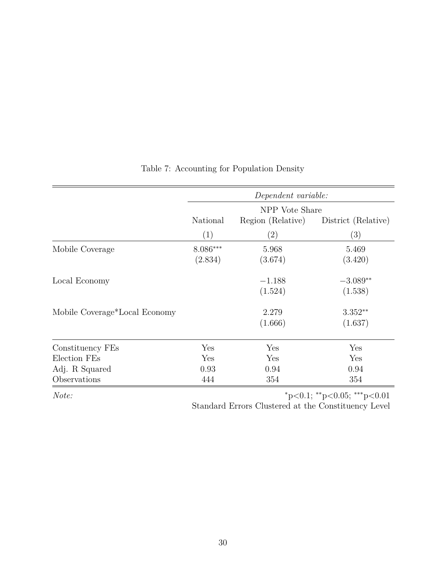|                               | Dependent variable: |                   |                     |
|-------------------------------|---------------------|-------------------|---------------------|
|                               | NPP Vote Share      |                   |                     |
|                               | National            | Region (Relative) | District (Relative) |
|                               | (1)                 | $\left( 2\right)$ | (3)                 |
| Mobile Coverage               | 8.086***            | 5.968             | 5.469               |
|                               | (2.834)             | (3.674)           | (3.420)             |
| Local Economy                 |                     | $-1.188$          | $-3.089**$          |
|                               |                     | (1.524)           | (1.538)             |
| Mobile Coverage*Local Economy |                     | 2.279             | $3.352**$           |
|                               |                     | (1.666)           | (1.637)             |
| Constituency FEs              | Yes                 | Yes               | Yes                 |
| Election FEs                  | Yes                 | Yes               | Yes                 |
| Adj. R Squared                | 0.93                | 0.94              | 0.94                |
| Observations                  | 444                 | 354               | 354                 |

## Table 7: Accounting for Population Density

*Note:* <sup>∗</sup>p*<*0.1; ∗∗p*<*0.05; ∗∗∗p*<*0.01

Standard Errors Clustered at the Constituency Level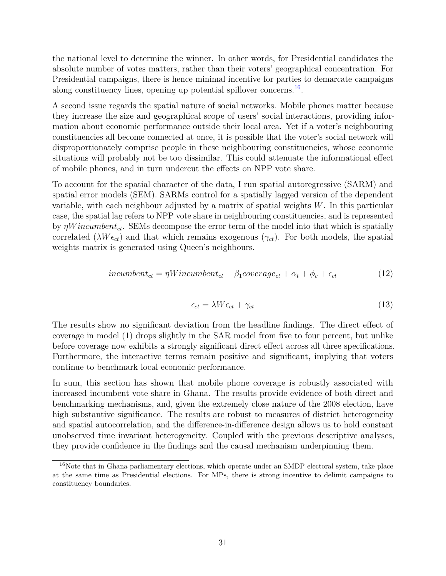the national level to determine the winner. In other words, for Presidential candidates the absolute number of votes matters, rather than their voters' geographical concentration. For Presidential campaigns, there is hence minimal incentive for parties to demarcate campaigns along constituency lines, opening up potential spillover concerns.<sup>[16](#page-30-0)</sup>.

A second issue regards the spatial nature of social networks. Mobile phones matter because they increase the size and geographical scope of users' social interactions, providing information about economic performance outside their local area. Yet if a voter's neighbouring constituencies all become connected at once, it is possible that the voter's social network will disproportionately comprise people in these neighbouring constituencies, whose economic situations will probably not be too dissimilar. This could attenuate the informational effect of mobile phones, and in turn undercut the effects on NPP vote share.

To account for the spatial character of the data, I run spatial autoregressive (SARM) and spatial error models (SEM). SARMs control for a spatially lagged version of the dependent variable, with each neighbour adjusted by a matrix of spatial weights *W*. In this particular case, the spatial lag refers to NPP vote share in neighbouring constituencies, and is represented by *ηW incumbentct*. SEMs decompose the error term of the model into that which is spatially correlated ( $\lambda W \epsilon_{ct}$ ) and that which remains exogenous ( $\gamma_{ct}$ ). For both models, the spatial weights matrix is generated using Queen's neighbours.

$$
incumbent_{ct} = \eta Wincumbent_{ct} + \beta_1 coverage_{ct} + \alpha_t + \phi_c + \epsilon_{ct}
$$
\n(12)

$$
\epsilon_{ct} = \lambda W \epsilon_{ct} + \gamma_{ct} \tag{13}
$$

The results show no significant deviation from the headline findings. The direct effect of coverage in model (1) drops slightly in the SAR model from five to four percent, but unlike before coverage now exhibits a strongly significant direct effect across all three specifications. Furthermore, the interactive terms remain positive and significant, implying that voters continue to benchmark local economic performance.

In sum, this section has shown that mobile phone coverage is robustly associated with increased incumbent vote share in Ghana. The results provide evidence of both direct and benchmarking mechanisms, and, given the extremely close nature of the 2008 election, have high substantive significance. The results are robust to measures of district heterogeneity and spatial autocorrelation, and the difference-in-difference design allows us to hold constant unobserved time invariant heterogeneity. Coupled with the previous descriptive analyses, they provide confidence in the findings and the causal mechanism underpinning them.

<span id="page-30-0"></span><sup>&</sup>lt;sup>16</sup>Note that in Ghana parliamentary elections, which operate under an SMDP electoral system, take place at the same time as Presidential elections. For MPs, there is strong incentive to delimit campaigns to constituency boundaries.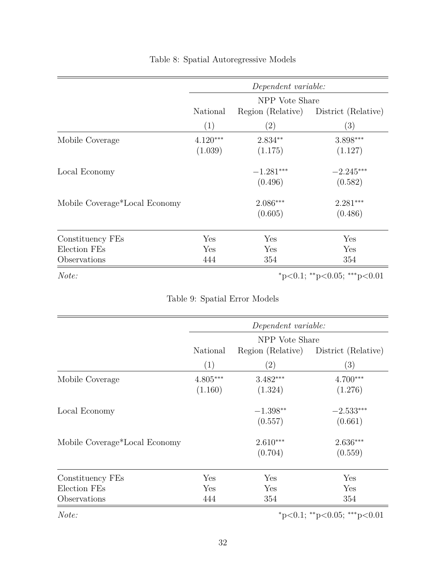|                               |                | Dependent variable: |                             |
|-------------------------------|----------------|---------------------|-----------------------------|
|                               | NPP Vote Share |                     |                             |
|                               | National       | Region (Relative)   | District (Relative)         |
|                               | (1)            | (2)                 | (3)                         |
| Mobile Coverage               | $4.120***$     | $2.834**$           | 3.898***                    |
|                               | (1.039)        | (1.175)             | (1.127)                     |
| Local Economy                 |                | $-1.281***$         | $-2.245***$                 |
|                               |                | (0.496)             | (0.582)                     |
| Mobile Coverage*Local Economy |                | 2.086***            | $2.281***$                  |
|                               |                | (0.605)             | (0.486)                     |
| Constituency FEs              | Yes            | Yes                 | Yes                         |
| Election FEs                  | Yes            | Yes                 | Yes                         |
| Observations                  | 444            | 354                 | 354                         |
| Note:                         |                |                     | *p<0.1; **p<0.05; ***p<0.01 |

## Table 8: Spatial Autoregressive Models

Table 9: Spatial Error Models

|                               | Dependent variable: |                   |                             |  |
|-------------------------------|---------------------|-------------------|-----------------------------|--|
|                               | NPP Vote Share      |                   |                             |  |
|                               | National            | Region (Relative) | District (Relative)         |  |
|                               | (1)                 | $\left( 2\right)$ | (3)                         |  |
| Mobile Coverage               | $4.805***$          | $3.482***$        | $4.700***$                  |  |
|                               | (1.160)             | (1.324)           | (1.276)                     |  |
| Local Economy                 |                     | $-1.398**$        | $-2.533***$                 |  |
|                               |                     | (0.557)           | (0.661)                     |  |
| Mobile Coverage*Local Economy |                     | $2.610***$        | $2.636***$                  |  |
|                               |                     | (0.704)           | (0.559)                     |  |
| Constituency FEs              | Yes                 | Yes               | Yes                         |  |
| Election FEs                  | Yes                 | Yes               | Yes                         |  |
| Observations                  | 444                 | 354               | 354                         |  |
| Note:                         |                     |                   | *p<0.1; **p<0.05; ***p<0.01 |  |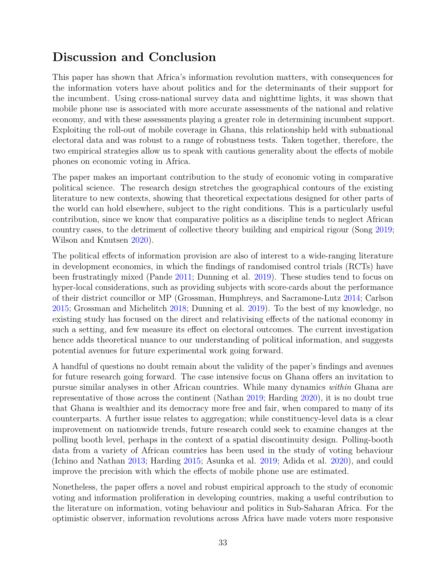## **Discussion and Conclusion**

This paper has shown that Africa's information revolution matters, with consequences for the information voters have about politics and for the determinants of their support for the incumbent. Using cross-national survey data and nighttime lights, it was shown that mobile phone use is associated with more accurate assessments of the national and relative economy, and with these assessments playing a greater role in determining incumbent support. Exploiting the roll-out of mobile coverage in Ghana, this relationship held with subnational electoral data and was robust to a range of robustness tests. Taken together, therefore, the two empirical strategies allow us to speak with cautious generality about the effects of mobile phones on economic voting in Africa.

The paper makes an important contribution to the study of economic voting in comparative political science. The research design stretches the geographical contours of the existing literature to new contexts, showing that theoretical expectations designed for other parts of the world can hold elsewhere, subject to the right conditions. This is a particularly useful contribution, since we know that comparative politics as a discipline tends to neglect African country cases, to the detriment of collective theory building and empirical rigour (Song [2019;](#page-41-11) Wilson and Knutsen [2020\)](#page-41-12).

The political effects of information provision are also of interest to a wide-ranging literature in development economics, in which the findings of randomised control trials (RCTs) have been frustratingly mixed (Pande [2011;](#page-40-13) Dunning et al. [2019\)](#page-36-8). These studies tend to focus on hyper-local considerations, such as providing subjects with score-cards about the performance of their district councillor or MP (Grossman, Humphreys, and Sacramone-Lutz [2014;](#page-37-12) Carlson [2015;](#page-35-13) Grossman and Michelitch [2018;](#page-37-13) Dunning et al. [2019\)](#page-36-8). To the best of my knowledge, no existing study has focused on the direct and relativising effects of the national economy in such a setting, and few measure its effect on electoral outcomes. The current investigation hence adds theoretical nuance to our understanding of political information, and suggests potential avenues for future experimental work going forward.

A handful of questions no doubt remain about the validity of the paper's findings and avenues for future research going forward. The case intensive focus on Ghana offers an invitation to pursue similar analyses in other African countries. While many dynamics *within* Ghana are representative of those across the continent (Nathan [2019;](#page-39-13) Harding [2020\)](#page-37-3), it is no doubt true that Ghana is wealthier and its democracy more free and fair, when compared to many of its counterparts. A further issue relates to aggregation; while constituency-level data is a clear improvement on nationwide trends, future research could seek to examine changes at the polling booth level, perhaps in the context of a spatial discontinuity design. Polling-booth data from a variety of African countries has been used in the study of voting behaviour (Ichino and Nathan [2013;](#page-38-13) Harding [2015;](#page-37-2) Asunka et al. [2019;](#page-34-11) Adida et al. [2020\)](#page-34-12), and could improve the precision with which the effects of mobile phone use are estimated.

Nonetheless, the paper offers a novel and robust empirical approach to the study of economic voting and information proliferation in developing countries, making a useful contribution to the literature on information, voting behaviour and politics in Sub-Saharan Africa. For the optimistic observer, information revolutions across Africa have made voters more responsive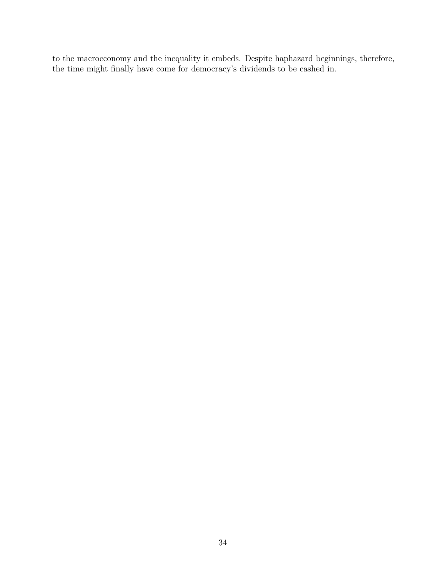to the macroeconomy and the inequality it embeds. Despite haphazard beginnings, therefore, the time might finally have come for democracy's dividends to be cashed in.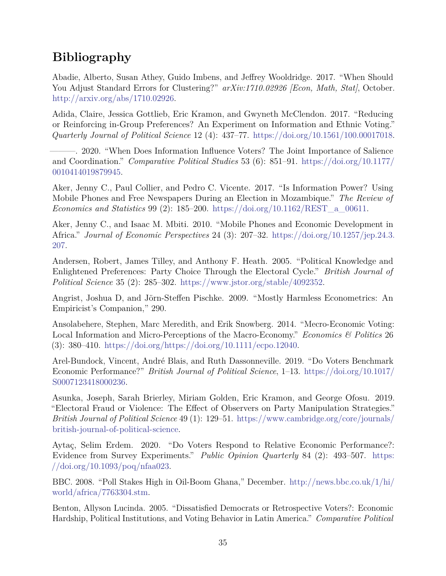# **Bibliography**

<span id="page-34-10"></span>Abadie, Alberto, Susan Athey, Guido Imbens, and Jeffrey Wooldridge. 2017. "When Should You Adjust Standard Errors for Clustering?"  $arXiv:1710.02926$  [Econ, Math, Stat], October. [http://arxiv.org/abs/1710.02926.](http://arxiv.org/abs/1710.02926)

<span id="page-34-6"></span>Adida, Claire, Jessica Gottlieb, Eric Kramon, and Gwyneth McClendon. 2017. "Reducing or Reinforcing in-Group Preferences? An Experiment on Information and Ethnic Voting." *Quarterly Journal of Political Science* 12 (4): 437–77. [https://doi.org/10.1561/100.00017018.](https://doi.org/10.1561/100.00017018)

<span id="page-34-12"></span>———. 2020. "When Does Information Influence Voters? The Joint Importance of Salience and Coordination." *Comparative Political Studies* 53 (6): 851–91. [https://doi.org/10.1177/](https://doi.org/10.1177/0010414019879945) [0010414019879945.](https://doi.org/10.1177/0010414019879945)

<span id="page-34-1"></span>Aker, Jenny C., Paul Collier, and Pedro C. Vicente. 2017. "Is Information Power? Using Mobile Phones and Free Newspapers During an Election in Mozambique." *The Review of Economics and Statistics* 99 (2): 185–200. [https://doi.org/10.1162/REST\\_a\\_00611.](https://doi.org/10.1162/REST_a_00611)

<span id="page-34-0"></span>Aker, Jenny C., and Isaac M. Mbiti. 2010. "Mobile Phones and Economic Development in Africa." *Journal of Economic Perspectives* 24 (3): 207–32. [https://doi.org/10.1257/jep.24.3.](https://doi.org/10.1257/jep.24.3.207) [207.](https://doi.org/10.1257/jep.24.3.207)

<span id="page-34-7"></span>Andersen, Robert, James Tilley, and Anthony F. Heath. 2005. "Political Knowledge and Enlightened Preferences: Party Choice Through the Electoral Cycle." *British Journal of Political Science* 35 (2): 285–302. [https://www.jstor.org/stable/4092352.](https://www.jstor.org/stable/4092352)

<span id="page-34-9"></span>Angrist, Joshua D, and Jörn-Steffen Pischke. 2009. "Mostly Harmless Econometrics: An Empiricist's Companion," 290.

<span id="page-34-5"></span>Ansolabehere, Stephen, Marc Meredith, and Erik Snowberg. 2014. "Mecro-Economic Voting: Local Information and Micro-Perceptions of the Macro-Economy." *Economics & Politics* 26 (3): 380–410. [https://doi.org/https://doi.org/10.1111/ecpo.12040.](https://doi.org/https://doi.org/10.1111/ecpo.12040)

<span id="page-34-3"></span>Arel-Bundock, Vincent, André Blais, and Ruth Dassonneville. 2019. "Do Voters Benchmark Economic Performance?" *British Journal of Political Science*, 1–13. [https://doi.org/10.1017/](https://doi.org/10.1017/S0007123418000236) [S0007123418000236.](https://doi.org/10.1017/S0007123418000236)

<span id="page-34-11"></span>Asunka, Joseph, Sarah Brierley, Miriam Golden, Eric Kramon, and George Ofosu. 2019. "Electoral Fraud or Violence: The Effect of Observers on Party Manipulation Strategies." *British Journal of Political Science* 49 (1): 129–51. [https://www.cambridge.org/core/journals/](https://www.cambridge.org/core/journals/british-journal-of-political-science) [british-journal-of-political-science.](https://www.cambridge.org/core/journals/british-journal-of-political-science)

<span id="page-34-4"></span>Aytaç, Selim Erdem. 2020. "Do Voters Respond to Relative Economic Performance?: Evidence from Survey Experiments." *Public Opinion Quarterly* 84 (2): 493–507. [https:](https://doi.org/10.1093/poq/nfaa023) [//doi.org/10.1093/poq/nfaa023.](https://doi.org/10.1093/poq/nfaa023)

<span id="page-34-8"></span>BBC. 2008. "Poll Stakes High in Oil-Boom Ghana," December. [http://news.bbc.co.uk/1/hi/](http://news.bbc.co.uk/1/hi/world/africa/7763304.stm) [world/africa/7763304.stm.](http://news.bbc.co.uk/1/hi/world/africa/7763304.stm)

<span id="page-34-2"></span>Benton, Allyson Lucinda. 2005. "Dissatisfied Democrats or Retrospective Voters?: Economic Hardship, Political Institutions, and Voting Behavior in Latin America." *Comparative Political*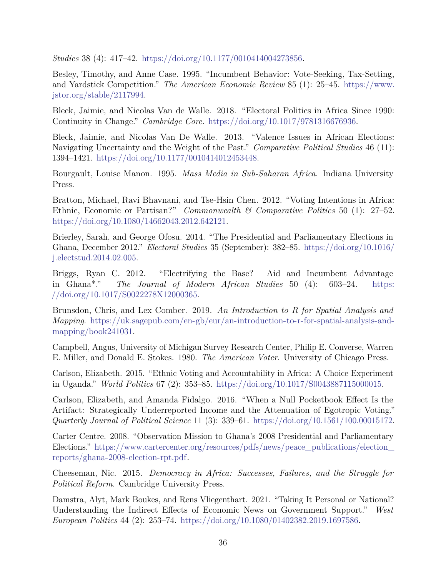*Studies* 38 (4): 417–42. [https://doi.org/10.1177/0010414004273856.](https://doi.org/10.1177/0010414004273856)

<span id="page-35-3"></span>Besley, Timothy, and Anne Case. 1995. "Incumbent Behavior: Vote-Seeking, Tax-Setting, and Yardstick Competition." *The American Economic Review* 85 (1): 25–45. [https://www.](https://www.jstor.org/stable/2117994) [jstor.org/stable/2117994.](https://www.jstor.org/stable/2117994)

<span id="page-35-5"></span>Bleck, Jaimie, and Nicolas Van de Walle. 2018. "Electoral Politics in Africa Since 1990: Continuity in Change." *Cambridge Core*. [https://doi.org/10.1017/9781316676936.](https://doi.org/10.1017/9781316676936)

<span id="page-35-10"></span>Bleck, Jaimie, and Nicolas Van De Walle. 2013. "Valence Issues in African Elections: Navigating Uncertainty and the Weight of the Past." *Comparative Political Studies* 46 (11): 1394–1421. [https://doi.org/10.1177/0010414012453448.](https://doi.org/10.1177/0010414012453448)

<span id="page-35-0"></span>Bourgault, Louise Manon. 1995. *Mass Media in Sub-Saharan Africa*. Indiana University Press.

<span id="page-35-6"></span>Bratton, Michael, Ravi Bhavnani, and Tse-Hsin Chen. 2012. "Voting Intentions in Africa: Ethnic, Economic or Partisan?" *Commonwealth & Comparative Politics* 50 (1): 27–52. [https://doi.org/10.1080/14662043.2012.642121.](https://doi.org/10.1080/14662043.2012.642121)

<span id="page-35-8"></span>Brierley, Sarah, and George Ofosu. 2014. "The Presidential and Parliamentary Elections in Ghana, December 2012." *Electoral Studies* 35 (September): 382–85. [https://doi.org/10.1016/](https://doi.org/10.1016/j.electstud.2014.02.005) [j.electstud.2014.02.005.](https://doi.org/10.1016/j.electstud.2014.02.005)

<span id="page-35-11"></span>Briggs, Ryan C. 2012. "Electrifying the Base? Aid and Incumbent Advantage in Ghana\*." *The Journal of Modern African Studies* 50 (4): 603–24. [https:](https://doi.org/10.1017/S0022278X12000365) [//doi.org/10.1017/S0022278X12000365.](https://doi.org/10.1017/S0022278X12000365)

<span id="page-35-12"></span>Brunsdon, Chris, and Lex Comber. 2019. *An Introduction to R for Spatial Analysis and Mapping*. [https://uk.sagepub.com/en-gb/eur/an-introduction-to-r-for-spatial-analysis-and](https://uk.sagepub.com/en-gb/eur/an-introduction-to-r-for-spatial-analysis-and-mapping/book241031)[mapping/book241031.](https://uk.sagepub.com/en-gb/eur/an-introduction-to-r-for-spatial-analysis-and-mapping/book241031)

<span id="page-35-2"></span>Campbell, Angus, University of Michigan Survey Research Center, Philip E. Converse, Warren E. Miller, and Donald E. Stokes. 1980. *The American Voter*. University of Chicago Press.

<span id="page-35-13"></span>Carlson, Elizabeth. 2015. "Ethnic Voting and Accountability in Africa: A Choice Experiment in Uganda." *World Politics* 67 (2): 353–85. [https://doi.org/10.1017/S0043887115000015.](https://doi.org/10.1017/S0043887115000015)

<span id="page-35-7"></span>Carlson, Elizabeth, and Amanda Fidalgo. 2016. "When a Null Pocketbook Effect Is the Artifact: Strategically Underreported Income and the Attenuation of Egotropic Voting." *Quarterly Journal of Political Science* 11 (3): 339–61. [https://doi.org/10.1561/100.00015172.](https://doi.org/10.1561/100.00015172)

<span id="page-35-9"></span>Carter Centre. 2008. "Observation Mission to Ghana's 2008 Presidential and Parliamentary Elections." [https://www.cartercenter.org/resources/pdfs/news/peace\\_publications/election\\_](https://www.cartercenter.org/resources/pdfs/news/peace_publications/election_reports/ghana-2008-election-rpt.pdf) [reports/ghana-2008-election-rpt.pdf.](https://www.cartercenter.org/resources/pdfs/news/peace_publications/election_reports/ghana-2008-election-rpt.pdf)

<span id="page-35-1"></span>Cheeseman, Nic. 2015. *Democracy in Africa: Successes, Failures, and the Struggle for Political Reform*. Cambridge University Press.

<span id="page-35-4"></span>Damstra, Alyt, Mark Boukes, and Rens Vliegenthart. 2021. "Taking It Personal or National? Understanding the Indirect Effects of Economic News on Government Support." *West European Politics* 44 (2): 253–74. [https://doi.org/10.1080/01402382.2019.1697586.](https://doi.org/10.1080/01402382.2019.1697586)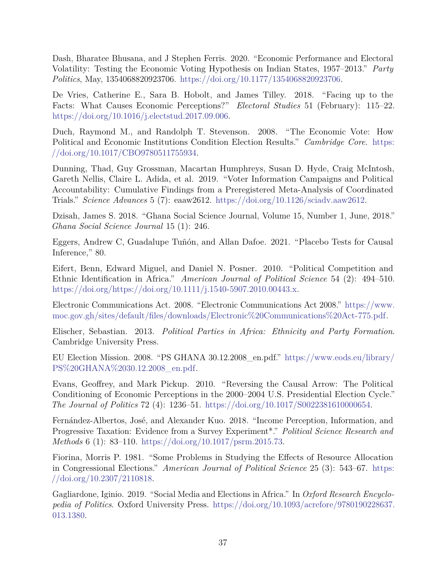<span id="page-36-2"></span>Dash, Bharatee Bhusana, and J Stephen Ferris. 2020. "Economic Performance and Electoral Volatility: Testing the Economic Voting Hypothesis on Indian States, 1957–2013." *Party Politics*, May, 1354068820923706. [https://doi.org/10.1177/1354068820923706.](https://doi.org/10.1177/1354068820923706)

<span id="page-36-7"></span>De Vries, Catherine E., Sara B. Hobolt, and James Tilley. 2018. "Facing up to the Facts: What Causes Economic Perceptions?" *Electoral Studies* 51 (February): 115–22. [https://doi.org/10.1016/j.electstud.2017.09.006.](https://doi.org/10.1016/j.electstud.2017.09.006)

<span id="page-36-0"></span>Duch, Raymond M., and Randolph T. Stevenson. 2008. "The Economic Vote: How Political and Economic Institutions Condition Election Results." *Cambridge Core*. [https:](https://doi.org/10.1017/CBO9780511755934) [//doi.org/10.1017/CBO9780511755934.](https://doi.org/10.1017/CBO9780511755934)

<span id="page-36-8"></span>Dunning, Thad, Guy Grossman, Macartan Humphreys, Susan D. Hyde, Craig McIntosh, Gareth Nellis, Claire L. Adida, et al. 2019. "Voter Information Campaigns and Political Accountability: Cumulative Findings from a Preregistered Meta-Analysis of Coordinated Trials." *Science Advances* 5 (7): eaaw2612. [https://doi.org/10.1126/sciadv.aaw2612.](https://doi.org/10.1126/sciadv.aaw2612)

<span id="page-36-10"></span>Dzisah, James S. 2018. "Ghana Social Science Journal, Volume 15, Number 1, June, 2018." *Ghana Social Science Journal* 15 (1): 246.

<span id="page-36-13"></span>Eggers, Andrew C, Guadalupe Tuñón, and Allan Dafoe. 2021. "Placebo Tests for Causal Inference," 80.

<span id="page-36-3"></span>Eifert, Benn, Edward Miguel, and Daniel N. Posner. 2010. "Political Competition and Ethnic Identification in Africa." *American Journal of Political Science* 54 (2): 494–510. [https://doi.org/https://doi.org/10.1111/j.1540-5907.2010.00443.x.](https://doi.org/https://doi.org/10.1111/j.1540-5907.2010.00443.x)

<span id="page-36-12"></span>Electronic Communications Act. 2008. "Electronic Communications Act 2008." [https://www.](https://www.moc.gov.gh/sites/default/files/downloads/Electronic%20Communications%20Act-775.pdf) [moc.gov.gh/sites/default/files/downloads/Electronic%20Communications%20Act-775.pdf.](https://www.moc.gov.gh/sites/default/files/downloads/Electronic%20Communications%20Act-775.pdf)

<span id="page-36-4"></span>Elischer, Sebastian. 2013. *Political Parties in Africa: Ethnicity and Party Formation*. Cambridge University Press.

<span id="page-36-11"></span>EU Election Mission. 2008. "PS GHANA 30.12.2008\_en.pdf." [https://www.eods.eu/library/](https://www.eods.eu/library/PS%20GHANA%2030.12.2008_en.pdf) [PS%20GHANA%2030.12.2008\\_en.pdf.](https://www.eods.eu/library/PS%20GHANA%2030.12.2008_en.pdf)

<span id="page-36-5"></span>Evans, Geoffrey, and Mark Pickup. 2010. "Reversing the Causal Arrow: The Political Conditioning of Economic Perceptions in the 2000–2004 U.S. Presidential Election Cycle." *The Journal of Politics* 72 (4): 1236–51. [https://doi.org/10.1017/S0022381610000654.](https://doi.org/10.1017/S0022381610000654)

<span id="page-36-6"></span>Fernández-Albertos, José, and Alexander Kuo. 2018. "Income Perception, Information, and Progressive Taxation: Evidence from a Survey Experiment\*." *Political Science Research and Methods* 6 (1): 83–110. [https://doi.org/10.1017/psrm.2015.73.](https://doi.org/10.1017/psrm.2015.73)

<span id="page-36-1"></span>Fiorina, Morris P. 1981. "Some Problems in Studying the Effects of Resource Allocation in Congressional Elections." *American Journal of Political Science* 25 (3): 543–67. [https:](https://doi.org/10.2307/2110818) [//doi.org/10.2307/2110818.](https://doi.org/10.2307/2110818)

<span id="page-36-9"></span>Gagliardone, Iginio. 2019. "Social Media and Elections in Africa." In *Oxford Research Encyclopedia of Politics*. Oxford University Press. [https://doi.org/10.1093/acrefore/9780190228637.](https://doi.org/10.1093/acrefore/9780190228637.013.1380) [013.1380.](https://doi.org/10.1093/acrefore/9780190228637.013.1380)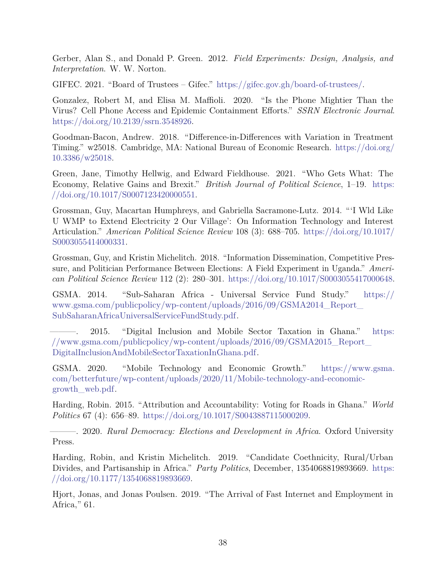<span id="page-37-8"></span>Gerber, Alan S., and Donald P. Green. 2012. *Field Experiments: Design, Analysis, and Interpretation*. W. W. Norton.

<span id="page-37-7"></span>GIFEC. 2021. "Board of Trustees – Gifec." [https://gifec.gov.gh/board-of-trustees/.](https://gifec.gov.gh/board-of-trustees/)

<span id="page-37-0"></span>Gonzalez, Robert M, and Elisa M. Maffioli. 2020. "Is the Phone Mightier Than the Virus? Cell Phone Access and Epidemic Containment Efforts." *SSRN Electronic Journal*. [https://doi.org/10.2139/ssrn.3548926.](https://doi.org/10.2139/ssrn.3548926)

<span id="page-37-9"></span>Goodman-Bacon, Andrew. 2018. "Difference-in-Differences with Variation in Treatment Timing." w25018. Cambridge, MA: National Bureau of Economic Research. [https://doi.org/](https://doi.org/10.3386/w25018) [10.3386/w25018.](https://doi.org/10.3386/w25018)

<span id="page-37-1"></span>Green, Jane, Timothy Hellwig, and Edward Fieldhouse. 2021. "Who Gets What: The Economy, Relative Gains and Brexit." *British Journal of Political Science*, 1–19. [https:](https://doi.org/10.1017/S0007123420000551) [//doi.org/10.1017/S0007123420000551.](https://doi.org/10.1017/S0007123420000551)

<span id="page-37-12"></span>Grossman, Guy, Macartan Humphreys, and Gabriella Sacramone-Lutz. 2014. "'I Wld Like U WMP to Extend Electricity 2 Our Village': On Information Technology and Interest Articulation." *American Political Science Review* 108 (3): 688–705. [https://doi.org/10.1017/](https://doi.org/10.1017/S0003055414000331) [S0003055414000331.](https://doi.org/10.1017/S0003055414000331)

<span id="page-37-13"></span>Grossman, Guy, and Kristin Michelitch. 2018. "Information Dissemination, Competitive Pressure, and Politician Performance Between Elections: A Field Experiment in Uganda." *American Political Science Review* 112 (2): 280–301. [https://doi.org/10.1017/S0003055417000648.](https://doi.org/10.1017/S0003055417000648)

<span id="page-37-6"></span>GSMA. 2014. "Sub-Saharan Africa - Universal Service Fund Study." [https://](https://www.gsma.com/publicpolicy/wp-content/uploads/2016/09/GSMA2014_Report_SubSaharanAfricaUniversalServiceFundStudy.pdf) [www.gsma.com/publicpolicy/wp-content/uploads/2016/09/GSMA2014\\_Report\\_](https://www.gsma.com/publicpolicy/wp-content/uploads/2016/09/GSMA2014_Report_SubSaharanAfricaUniversalServiceFundStudy.pdf) [SubSaharanAfricaUniversalServiceFundStudy.pdf.](https://www.gsma.com/publicpolicy/wp-content/uploads/2016/09/GSMA2014_Report_SubSaharanAfricaUniversalServiceFundStudy.pdf)

<span id="page-37-5"></span>2015. "Digital Inclusion and Mobile Sector Taxation in Ghana." [https:](https://www.gsma.com/publicpolicy/wp-content/uploads/2016/09/GSMA2015_Report_DigitalInclusionAndMobileSectorTaxationInGhana.pdf) [//www.gsma.com/publicpolicy/wp-content/uploads/2016/09/GSMA2015\\_Report\\_](https://www.gsma.com/publicpolicy/wp-content/uploads/2016/09/GSMA2015_Report_DigitalInclusionAndMobileSectorTaxationInGhana.pdf) [DigitalInclusionAndMobileSectorTaxationInGhana.pdf.](https://www.gsma.com/publicpolicy/wp-content/uploads/2016/09/GSMA2015_Report_DigitalInclusionAndMobileSectorTaxationInGhana.pdf)

<span id="page-37-10"></span>GSMA. 2020. "Mobile Technology and Economic Growth." [https://www.gsma.](https://www.gsma.com/betterfuture/wp-content/uploads/2020/11/Mobile-technology-and-economic-growth_web.pdf) [com/betterfuture/wp-content/uploads/2020/11/Mobile-technology-and-economic](https://www.gsma.com/betterfuture/wp-content/uploads/2020/11/Mobile-technology-and-economic-growth_web.pdf)[growth\\_web.pdf.](https://www.gsma.com/betterfuture/wp-content/uploads/2020/11/Mobile-technology-and-economic-growth_web.pdf)

<span id="page-37-2"></span>Harding, Robin. 2015. "Attribution and Accountability: Voting for Roads in Ghana." *World Politics* 67 (4): 656–89. [https://doi.org/10.1017/S0043887115000209.](https://doi.org/10.1017/S0043887115000209)

<span id="page-37-3"></span>———. 2020. *Rural Democracy: Elections and Development in Africa*. Oxford University Press.

<span id="page-37-4"></span>Harding, Robin, and Kristin Michelitch. 2019. "Candidate Coethnicity, Rural/Urban Divides, and Partisanship in Africa." *Party Politics*, December, 1354068819893669. [https:](https://doi.org/10.1177/1354068819893669) [//doi.org/10.1177/1354068819893669.](https://doi.org/10.1177/1354068819893669)

<span id="page-37-11"></span>Hjort, Jonas, and Jonas Poulsen. 2019. "The Arrival of Fast Internet and Employment in Africa," 61.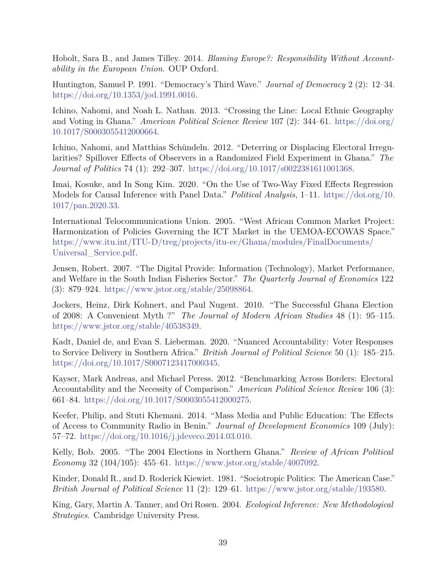<span id="page-38-2"></span>Hobolt, Sara B., and James Tilley. 2014. *Blaming Europe?: Responsibility Without Accountability in the European Union*. OUP Oxford.

<span id="page-38-5"></span>Huntington, Samuel P. 1991. "Democracy's Third Wave." *Journal of Democracy* 2 (2): 12–34. [https://doi.org/10.1353/jod.1991.0016.](https://doi.org/10.1353/jod.1991.0016)

<span id="page-38-13"></span>Ichino, Nahomi, and Noah L. Nathan. 2013. "Crossing the Line: Local Ethnic Geography and Voting in Ghana." *American Political Science Review* 107 (2): 344–61. [https://doi.org/](https://doi.org/10.1017/S0003055412000664) [10.1017/S0003055412000664.](https://doi.org/10.1017/S0003055412000664)

<span id="page-38-6"></span>Ichino, Nahomi, and Matthias Schündeln. 2012. "Deterring or Displacing Electoral Irregularities? Spillover Effects of Observers in a Randomized Field Experiment in Ghana." *The Journal of Politics* 74 (1): 292–307. [https://doi.org/10.1017/s0022381611001368.](https://doi.org/10.1017/s0022381611001368)

<span id="page-38-11"></span>Imai, Kosuke, and In Song Kim. 2020. "On the Use of Two-Way Fixed Effects Regression Models for Causal Inference with Panel Data." *Political Analysis*, 1–11. [https://doi.org/10.](https://doi.org/10.1017/pan.2020.33) [1017/pan.2020.33.](https://doi.org/10.1017/pan.2020.33)

<span id="page-38-9"></span>International Telocommunications Union. 2005. "West African Common Market Project: Harmonization of Policies Governing the ICT Market in the UEMOA-ECOWAS Space." [https://www.itu.int/ITU-D/treg/projects/itu-ec/Ghana/modules/FinalDocuments/](https://www.itu.int/ITU-D/treg/projects/itu-ec/Ghana/modules/FinalDocuments/Universal_Service.pdf) [Universal\\_Service.pdf.](https://www.itu.int/ITU-D/treg/projects/itu-ec/Ghana/modules/FinalDocuments/Universal_Service.pdf)

<span id="page-38-12"></span>Jensen, Robert. 2007. "The Digital Provide: Information (Technology), Market Performance, and Welfare in the South Indian Fisheries Sector." *The Quarterly Journal of Economics* 122 (3): 879–924. [https://www.jstor.org/stable/25098864.](https://www.jstor.org/stable/25098864)

<span id="page-38-8"></span>Jockers, Heinz, Dirk Kohnert, and Paul Nugent. 2010. "The Successful Ghana Election of 2008: A Convenient Myth ?" *The Journal of Modern African Studies* 48 (1): 95–115. [https://www.jstor.org/stable/40538349.](https://www.jstor.org/stable/40538349)

<span id="page-38-4"></span>Kadt, Daniel de, and Evan S. Lieberman. 2020. "Nuanced Accountability: Voter Responses to Service Delivery in Southern Africa." *British Journal of Political Science* 50 (1): 185–215. [https://doi.org/10.1017/S0007123417000345.](https://doi.org/10.1017/S0007123417000345)

<span id="page-38-3"></span>Kayser, Mark Andreas, and Michael Peress. 2012. "Benchmarking Across Borders: Electoral Accountability and the Necessity of Comparison." *American Political Science Review* 106 (3): 661–84. [https://doi.org/10.1017/S0003055412000275.](https://doi.org/10.1017/S0003055412000275)

<span id="page-38-0"></span>Keefer, Philip, and Stuti Khemani. 2014. "Mass Media and Public Education: The Effects of Access to Community Radio in Benin." *Journal of Development Economics* 109 (July): 57–72. [https://doi.org/10.1016/j.jdeveco.2014.03.010.](https://doi.org/10.1016/j.jdeveco.2014.03.010)

<span id="page-38-7"></span>Kelly, Bob. 2005. "The 2004 Elections in Northern Ghana." *Review of African Political Economy* 32 (104/105): 455–61. [https://www.jstor.org/stable/4007092.](https://www.jstor.org/stable/4007092)

<span id="page-38-1"></span>Kinder, Donald R., and D. Roderick Kiewiet. 1981. "Sociotropic Politics: The American Case." *British Journal of Political Science* 11 (2): 129–61. [https://www.jstor.org/stable/193580.](https://www.jstor.org/stable/193580)

<span id="page-38-10"></span>King, Gary, Martin A. Tanner, and Ori Rosen. 2004. *Ecological Inference: New Methodological Strategies*. Cambridge University Press.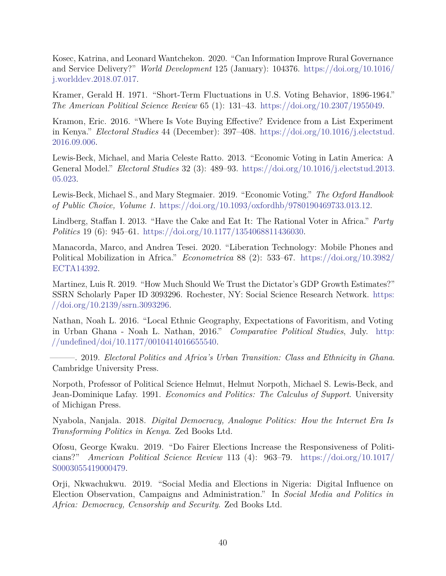<span id="page-39-0"></span>Kosec, Katrina, and Leonard Wantchekon. 2020. "Can Information Improve Rural Governance and Service Delivery?" *World Development* 125 (January): 104376. [https://doi.org/10.1016/](https://doi.org/10.1016/j.worlddev.2018.07.017) [j.worlddev.2018.07.017.](https://doi.org/10.1016/j.worlddev.2018.07.017)

<span id="page-39-3"></span>Kramer, Gerald H. 1971. "Short-Term Fluctuations in U.S. Voting Behavior, 1896-1964." *The American Political Science Review* 65 (1): 131–43. [https://doi.org/10.2307/1955049.](https://doi.org/10.2307/1955049)

<span id="page-39-6"></span>Kramon, Eric. 2016. "Where Is Vote Buying Effective? Evidence from a List Experiment in Kenya." *Electoral Studies* 44 (December): 397–408. [https://doi.org/10.1016/j.electstud.](https://doi.org/10.1016/j.electstud.2016.09.006) [2016.09.006.](https://doi.org/10.1016/j.electstud.2016.09.006)

<span id="page-39-4"></span>Lewis-Beck, Michael, and Maria Celeste Ratto. 2013. "Economic Voting in Latin America: A General Model." *Electoral Studies* 32 (3): 489–93. [https://doi.org/10.1016/j.electstud.2013.](https://doi.org/10.1016/j.electstud.2013.05.023) [05.023.](https://doi.org/10.1016/j.electstud.2013.05.023)

<span id="page-39-2"></span>Lewis-Beck, Michael S., and Mary Stegmaier. 2019. "Economic Voting." *The Oxford Handbook of Public Choice, Volume 1*. [https://doi.org/10.1093/oxfordhb/9780190469733.013.12.](https://doi.org/10.1093/oxfordhb/9780190469733.013.12)

<span id="page-39-11"></span>Lindberg, Staffan I. 2013. "Have the Cake and Eat It: The Rational Voter in Africa." *Party Politics* 19 (6): 945–61. [https://doi.org/10.1177/1354068811436030.](https://doi.org/10.1177/1354068811436030)

<span id="page-39-1"></span>Manacorda, Marco, and Andrea Tesei. 2020. "Liberation Technology: Mobile Phones and Political Mobilization in Africa." *Econometrica* 88 (2): 533–67. [https://doi.org/10.3982/](https://doi.org/10.3982/ECTA14392) [ECTA14392.](https://doi.org/10.3982/ECTA14392)

<span id="page-39-9"></span>Martinez, Luis R. 2019. "How Much Should We Trust the Dictator's GDP Growth Estimates?" SSRN Scholarly Paper ID 3093296. Rochester, NY: Social Science Research Network. [https:](https://doi.org/10.2139/ssrn.3093296) [//doi.org/10.2139/ssrn.3093296.](https://doi.org/10.2139/ssrn.3093296)

<span id="page-39-12"></span>Nathan, Noah L. 2016. "Local Ethnic Geography, Expectations of Favoritism, and Voting in Urban Ghana - Noah L. Nathan, 2016." *Comparative Political Studies*, July. [http:](http://undefined/doi/10.1177/0010414016655540) [//undefined/doi/10.1177/0010414016655540.](http://undefined/doi/10.1177/0010414016655540)

<span id="page-39-13"></span>———. 2019. *Electoral Politics and Africa's Urban Transition: Class and Ethnicity in Ghana*. Cambridge University Press.

<span id="page-39-5"></span>Norpoth, Professor of Political Science Helmut, Helmut Norpoth, Michael S. Lewis-Beck, and Jean-Dominique Lafay. 1991. *Economics and Politics: The Calculus of Support*. University of Michigan Press.

<span id="page-39-7"></span>Nyabola, Nanjala. 2018. *Digital Democracy, Analogue Politics: How the Internet Era Is Transforming Politics in Kenya*. Zed Books Ltd.

<span id="page-39-10"></span>Ofosu, George Kwaku. 2019. "Do Fairer Elections Increase the Responsiveness of Politicians?" *American Political Science Review* 113 (4): 963–79. [https://doi.org/10.1017/](https://doi.org/10.1017/S0003055419000479) [S0003055419000479.](https://doi.org/10.1017/S0003055419000479)

<span id="page-39-8"></span>Orji, Nkwachukwu. 2019. "Social Media and Elections in Nigeria: Digital Influence on Election Observation, Campaigns and Administration." In *Social Media and Politics in Africa: Democracy, Censorship and Security*. Zed Books Ltd.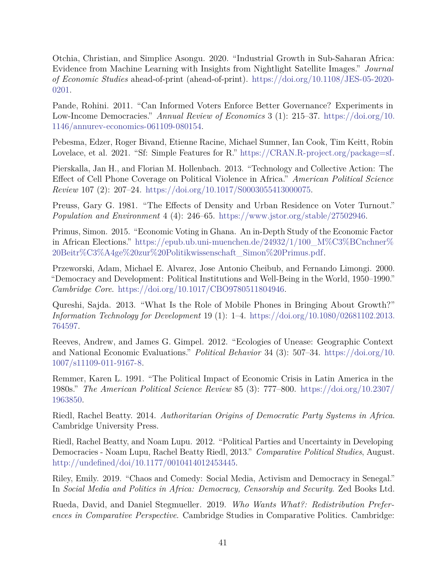<span id="page-40-4"></span>Otchia, Christian, and Simplice Asongu. 2020. "Industrial Growth in Sub-Saharan Africa: Evidence from Machine Learning with Insights from Nightlight Satellite Images." *Journal of Economic Studies* ahead-of-print (ahead-of-print). [https://doi.org/10.1108/JES-05-2020-](https://doi.org/10.1108/JES-05-2020-0201) [0201.](https://doi.org/10.1108/JES-05-2020-0201)

<span id="page-40-13"></span>Pande, Rohini. 2011. "Can Informed Voters Enforce Better Governance? Experiments in Low-Income Democracies." *Annual Review of Economics* 3 (1): 215–37. [https://doi.org/10.](https://doi.org/10.1146/annurev-economics-061109-080154) [1146/annurev-economics-061109-080154.](https://doi.org/10.1146/annurev-economics-061109-080154)

<span id="page-40-10"></span>Pebesma, Edzer, Roger Bivand, Etienne Racine, Michael Sumner, Ian Cook, Tim Keitt, Robin Lovelace, et al. 2021. "Sf: Simple Features for R." [https://CRAN.R-project.org/package=sf.](https://CRAN.R-project.org/package=sf)

<span id="page-40-1"></span>Pierskalla, Jan H., and Florian M. Hollenbach. 2013. "Technology and Collective Action: The Effect of Cell Phone Coverage on Political Violence in Africa." *American Political Science Review* 107 (2): 207–24. [https://doi.org/10.1017/S0003055413000075.](https://doi.org/10.1017/S0003055413000075)

<span id="page-40-12"></span>Preuss, Gary G. 1981. "The Effects of Density and Urban Residence on Voter Turnout." *Population and Environment* 4 (4): 246–65. [https://www.jstor.org/stable/27502946.](https://www.jstor.org/stable/27502946)

<span id="page-40-9"></span>Primus, Simon. 2015. "Economic Voting in Ghana. An in-Depth Study of the Economic Factor in African Elections." [https://epub.ub.uni-muenchen.de/24932/1/100\\_M%C3%BCnchner%](https://epub.ub.uni-muenchen.de/24932/1/100_M%C3%BCnchner%20Beitr%C3%A4ge%20zur%20Politikwissenschaft_Simon%20Primus.pdf) [20Beitr%C3%A4ge%20zur%20Politikwissenschaft\\_Simon%20Primus.pdf.](https://epub.ub.uni-muenchen.de/24932/1/100_M%C3%BCnchner%20Beitr%C3%A4ge%20zur%20Politikwissenschaft_Simon%20Primus.pdf)

<span id="page-40-7"></span>Przeworski, Adam, Michael E. Alvarez, Jose Antonio Cheibub, and Fernando Limongi. 2000. "Democracy and Development: Political Institutions and Well-Being in the World, 1950–1990." *Cambridge Core*. [https://doi.org/10.1017/CBO9780511804946.](https://doi.org/10.1017/CBO9780511804946)

<span id="page-40-11"></span>Qureshi, Sajda. 2013. "What Is the Role of Mobile Phones in Bringing About Growth?" *Information Technology for Development* 19 (1): 1–4. [https://doi.org/10.1080/02681102.2013.](https://doi.org/10.1080/02681102.2013.764597) [764597.](https://doi.org/10.1080/02681102.2013.764597)

<span id="page-40-2"></span>Reeves, Andrew, and James G. Gimpel. 2012. "Ecologies of Unease: Geographic Context and National Economic Evaluations." *Political Behavior* 34 (3): 507–34. [https://doi.org/10.](https://doi.org/10.1007/s11109-011-9167-8) [1007/s11109-011-9167-8.](https://doi.org/10.1007/s11109-011-9167-8)

<span id="page-40-3"></span>Remmer, Karen L. 1991. "The Political Impact of Economic Crisis in Latin America in the 1980s." *The American Political Science Review* 85 (3): 777–800. [https://doi.org/10.2307/](https://doi.org/10.2307/1963850) [1963850.](https://doi.org/10.2307/1963850)

<span id="page-40-8"></span>Riedl, Rachel Beatty. 2014. *Authoritarian Origins of Democratic Party Systems in Africa*. Cambridge University Press.

<span id="page-40-0"></span>Riedl, Rachel Beatty, and Noam Lupu. 2012. "Political Parties and Uncertainty in Developing Democracies - Noam Lupu, Rachel Beatty Riedl, 2013." *Comparative Political Studies*, August. [http://undefined/doi/10.1177/0010414012453445.](http://undefined/doi/10.1177/0010414012453445)

<span id="page-40-6"></span>Riley, Emily. 2019. "Chaos and Comedy: Social Media, Activism and Democracy in Senegal." In *Social Media and Politics in Africa: Democracy, Censorship and Security*. Zed Books Ltd.

<span id="page-40-5"></span>Rueda, David, and Daniel Stegmueller. 2019. *Who Wants What?: Redistribution Preferences in Comparative Perspective*. Cambridge Studies in Comparative Politics. Cambridge: